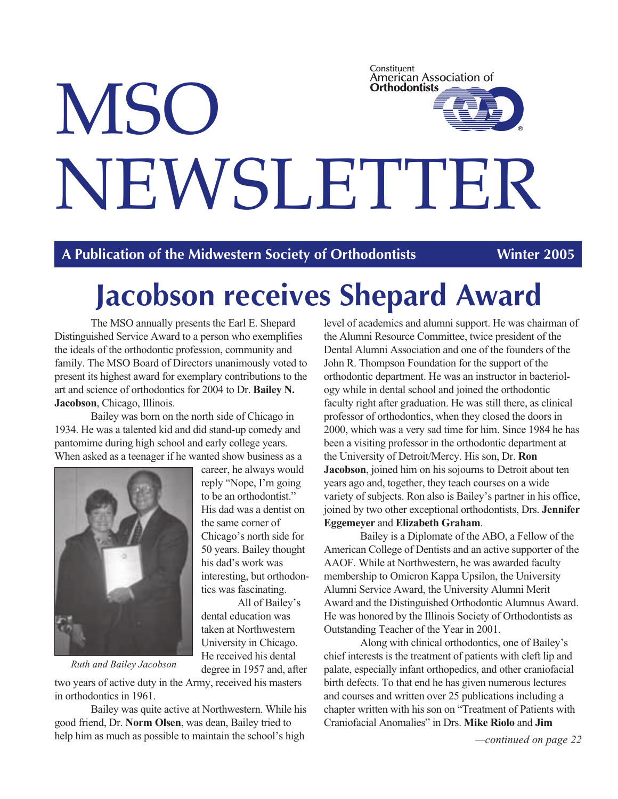# Constituent American Association of **Orthodontists MSO** NEWSLETTER

**A Publication of the Midwestern Society of Orthodontists Winter 2005**

# **Jacobson receives Shepard Award**

The MSO annually presents the Earl E. Shepard Distinguished Service Award to a person who exemplifies the ideals of the orthodontic profession, community and family. The MSO Board of Directors unanimously voted to present its highest award for exemplary contributions to the art and science of orthodontics for 2004 to Dr. **Bailey N. Jacobson**, Chicago, Illinois.

Bailey was born on the north side of Chicago in 1934. He was a talented kid and did stand-up comedy and pantomime during high school and early college years. When asked as a teenager if he wanted show business as a



career, he always would reply "Nope, I'm going to be an orthodontist." His dad was a dentist on the same corner of Chicago's north side for 50 years. Bailey thought his dad's work was interesting, but orthodontics was fascinating.

All of Bailey's dental education was taken at Northwestern University in Chicago. He received his dental degree in 1957 and, after

*Ruth and Bailey Jacobson*

two years of active duty in the Army, received his masters in orthodontics in 1961.

Bailey was quite active at Northwestern. While his good friend, Dr. **Norm Olsen**, was dean, Bailey tried to help him as much as possible to maintain the school's high

level of academics and alumni support. He was chairman of the Alumni Resource Committee, twice president of the Dental Alumni Association and one of the founders of the John R. Thompson Foundation for the support of the orthodontic department. He was an instructor in bacteriology while in dental school and joined the orthodontic faculty right after graduation. He was still there, as clinical professor of orthodontics, when they closed the doors in 2000, which was a very sad time for him. Since 1984 he has been a visiting professor in the orthodontic department at the University of Detroit/Mercy. His son, Dr. **Ron Jacobson**, joined him on his sojourns to Detroit about ten years ago and, together, they teach courses on a wide variety of subjects. Ron also is Bailey's partner in his office, joined by two other exceptional orthodontists, Drs. **Jennifer Eggemeyer** and **Elizabeth Graham**.

Bailey is a Diplomate of the ABO, a Fellow of the American College of Dentists and an active supporter of the AAOF. While at Northwestern, he was awarded faculty membership to Omicron Kappa Upsilon, the University Alumni Service Award, the University Alumni Merit Award and the Distinguished Orthodontic Alumnus Award. He was honored by the Illinois Society of Orthodontists as Outstanding Teacher of the Year in 2001.

Along with clinical orthodontics, one of Bailey's chief interests is the treatment of patients with cleft lip and palate, especially infant orthopedics, and other craniofacial birth defects. To that end he has given numerous lectures and courses and written over 25 publications including a chapter written with his son on "Treatment of Patients with Craniofacial Anomalies" in Drs. **Mike Riolo** and **Jim**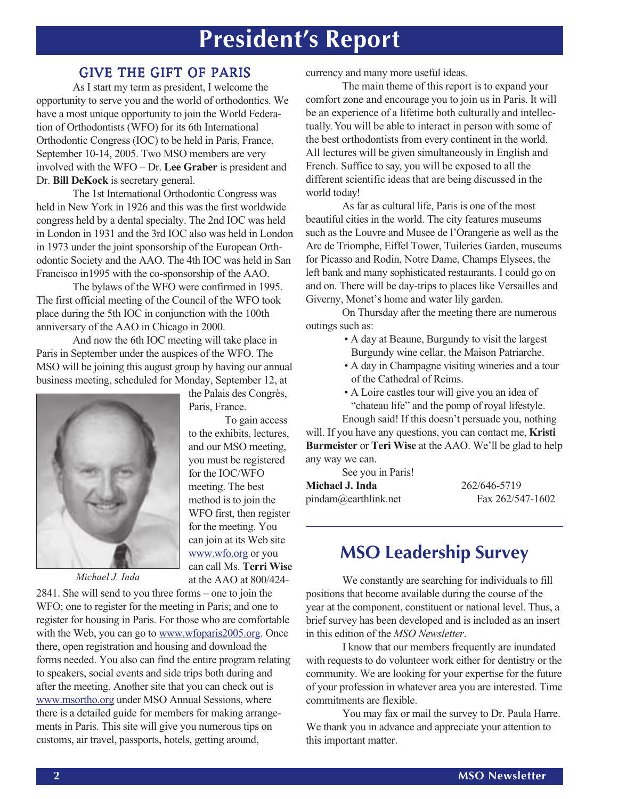## **President's Report**

#### GIVE THE GIFT OF PARIS

As I start my term as president, I welcome the opportunity to serve you and the world of orthodontics. We have a most unique opportunity to join the World Federation of Orthodontists (WFO) for its 6th International Orthodontic Congress (IOC) to be held in Paris, France, September 10-14, 2005. Two MSO members are very involved with the WFO – Dr. **Lee Graber** is president and Dr. **Bill DeKock** is secretary general.

The 1st International Orthodontic Congress was held in New York in 1926 and this was the first worldwide congress held by a dental specialty. The 2nd IOC was held in London in 1931 and the 3rd IOC also was held in London in 1973 under the joint sponsorship of the European Orthodontic Society and the AAO. The 4th IOC was held in San Francisco in1995 with the co-sponsorship of the AAO.

The bylaws of the WFO were confirmed in 1995. The first official meeting of the Council of the WFO took place during the 5th IOC in conjunction with the 100th anniversary of the AAO in Chicago in 2000.

And now the 6th IOC meeting will take place in Paris in September under the auspices of the WFO. The MSO will be joining this august group by having our annual business meeting, scheduled for Monday, September 12, at

the Palais des Congrès,

to the exhibits, lectures, and our MSO meeting, you must be registered for the IOC/WFO meeting. The best method is to join the WFO first, then register for the meeting. You can join at its Web site www.wfo.org or you can call Ms. **Terri Wise** at the AAO at 800/424-

To gain access

Paris, France.



2841. She will send to you three forms – one to join the WFO; one to register for the meeting in Paris; and one to register for housing in Paris. For those who are comfortable with the Web, you can go to www.wfoparis2005.org. Once there, open registration and housing and download the forms needed. You also can find the entire program relating to speakers, social events and side trips both during and after the meeting. Another site that you can check out is www.msortho.org under MSO Annual Sessions, where there is a detailed guide for members for making arrangements in Paris. This site will give you numerous tips on customs, air travel, passports, hotels, getting around,

currency and many more useful ideas.

The main theme of this report is to expand your comfort zone and encourage you to join us in Paris. It will be an experience of a lifetime both culturally and intellectually. You will be able to interact in person with some of the best orthodontists from every continent in the world. All lectures will be given simultaneously in English and French. Suffice to say, you will be exposed to all the different scientific ideas that are being discussed in the world today!

As far as cultural life, Paris is one of the most beautiful cities in the world. The city features museums such as the Louvre and Musee de l'Orangerie as well as the Arc de Triomphe, Eiffel Tower, Tuileries Garden, museums for Picasso and Rodin, Notre Dame, Champs Elysees, the left bank and many sophisticated restaurants. I could go on and on. There will be day-trips to places like Versailles and Giverny, Monet's home and water lily garden.

On Thursday after the meeting there are numerous outings such as:

- A day at Beaune, Burgundy to visit the largest Burgundy wine cellar, the Maison Patriarche.
- A day in Champagne visiting wineries and a tour of the Cathedral of Reims.
- A Loire castles tour will give you an idea of

"chateau life" and the pomp of royal lifestyle.

Enough said! If this doesn't persuade you, nothing will. If you have any questions, you can contact me, **Kristi Burmeister** or **Teri Wise** at the AAO. We'll be glad to help any way we can.

See you in Paris!

| Michael J. Inda      | 262/646-5719     |
|----------------------|------------------|
| pindam@earthlink.net | Fax 262/547-1602 |

### **MSO Leadership Survey**

*Michael J. Inda* **at the AAO at 800/424-** We constantly are searching for individuals to fill positions that become available during the course of the year at the component, constituent or national level. Thus, a brief survey has been developed and is included as an insert in this edition of the *MSO Newsletter*.

> I know that our members frequently are inundated with requests to do volunteer work either for dentistry or the community. We are looking for your expertise for the future of your profession in whatever area you are interested. Time commitments are flexible.

> You may fax or mail the survey to Dr. Paula Harre. We thank you in advance and appreciate your attention to this important matter.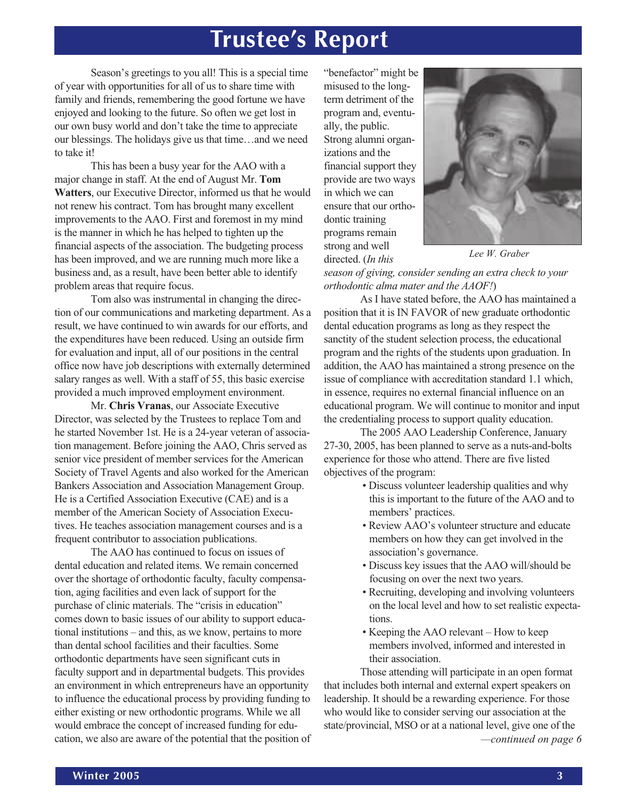## **Trustee's Report**

Season's greetings to you all! This is a special time of year with opportunities for all of us to share time with family and friends, remembering the good fortune we have enjoyed and looking to the future. So often we get lost in our own busy world and don't take the time to appreciate our blessings. The holidays give us that time…and we need to take it!

This has been a busy year for the AAO with a major change in staff. At the end of August Mr. **Tom Watters**, our Executive Director, informed us that he would not renew his contract. Tom has brought many excellent improvements to the AAO. First and foremost in my mind is the manner in which he has helped to tighten up the financial aspects of the association. The budgeting process has been improved, and we are running much more like a business and, as a result, have been better able to identify problem areas that require focus.

Tom also was instrumental in changing the direction of our communications and marketing department. As a result, we have continued to win awards for our efforts, and the expenditures have been reduced. Using an outside firm for evaluation and input, all of our positions in the central office now have job descriptions with externally determined salary ranges as well. With a staff of 55, this basic exercise provided a much improved employment environment.

Mr. **Chris Vranas**, our Associate Executive Director, was selected by the Trustees to replace Tom and he started November 1st. He is a 24-year veteran of association management. Before joining the AAO, Chris served as senior vice president of member services for the American Society of Travel Agents and also worked for the American Bankers Association and Association Management Group. He is a Certified Association Executive (CAE) and is a member of the American Society of Association Executives. He teaches association management courses and is a frequent contributor to association publications.

The AAO has continued to focus on issues of dental education and related items. We remain concerned over the shortage of orthodontic faculty, faculty compensation, aging facilities and even lack of support for the purchase of clinic materials. The "crisis in education" comes down to basic issues of our ability to support educational institutions – and this, as we know, pertains to more than dental school facilities and their faculties. Some orthodontic departments have seen significant cuts in faculty support and in departmental budgets. This provides an environment in which entrepreneurs have an opportunity to influence the educational process by providing funding to either existing or new orthodontic programs. While we all would embrace the concept of increased funding for education, we also are aware of the potential that the position of

"benefactor" might be misused to the longterm detriment of the program and, eventually, the public. Strong alumni organizations and the financial support they provide are two ways in which we can ensure that our orthodontic training programs remain strong and well directed. (*In this*



*Lee W. Graber*

*season of giving, consider sending an extra check to your orthodontic alma mater and the AAOF!*)

As I have stated before, the AAO has maintained a position that it is IN FAVOR of new graduate orthodontic dental education programs as long as they respect the sanctity of the student selection process, the educational program and the rights of the students upon graduation. In addition, the AAO has maintained a strong presence on the issue of compliance with accreditation standard 1.1 which, in essence, requires no external financial influence on an educational program. We will continue to monitor and input the credentialing process to support quality education.

The 2005 AAO Leadership Conference, January 27-30, 2005, has been planned to serve as a nuts-and-bolts experience for those who attend. There are five listed objectives of the program:

- Discuss volunteer leadership qualities and why this is important to the future of the AAO and to members' practices.
- Review AAO's volunteer structure and educate members on how they can get involved in the association's governance.
- Discuss key issues that the AAO will/should be focusing on over the next two years.
- Recruiting, developing and involving volunteers on the local level and how to set realistic expectations.
- Keeping the AAO relevant How to keep members involved, informed and interested in their association.

*—continued on page 6* Those attending will participate in an open format that includes both internal and external expert speakers on leadership. It should be a rewarding experience. For those who would like to consider serving our association at the state/provincial, MSO or at a national level, give one of the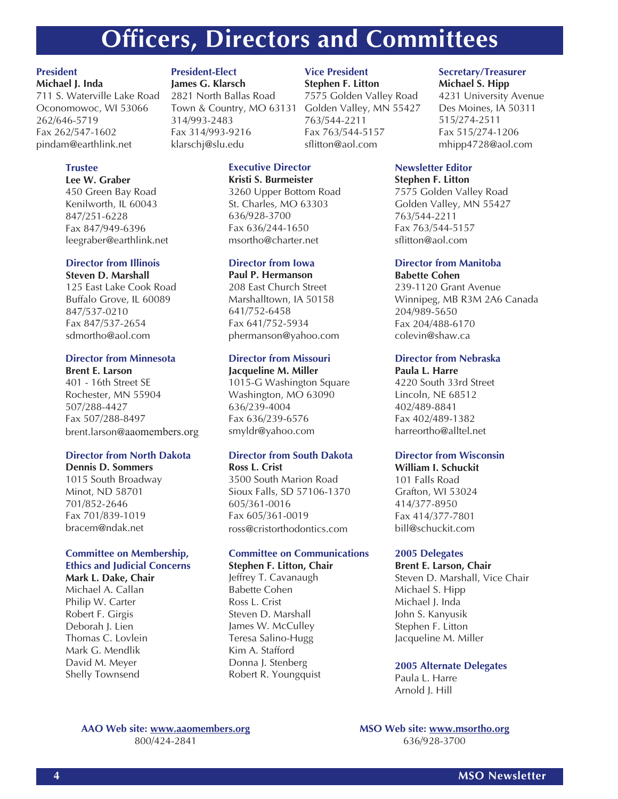## **Officers, Directors and Committees**

#### **President Michael J. Inda**

711 S. Waterville Lake Road Oconomowoc, WI 53066 262/646-5719 Fax 262/547-1602 pindam@earthlink.net

#### **Trustee**

**Lee W. Graber** 450 Green Bay Road Kenilworth, IL 60043 847/251-6228 Fax 847/949-6396 leegraber@earthlink.net

#### **Director from Illinois**

**Steven D. Marshall** 125 East Lake Cook Road Buffalo Grove, IL 60089 847/537-0210 Fax 847/537-2654 sdmortho@aol.com

#### **Director from Minnesota**

**Brent E. Larson** 401 - 16th Street SE Rochester, MN 55904 507/288-4427 Fax 507/288-8497 brent.larson@aaomembers.org

#### **Director from North Dakota**

**Dennis D. Sommers**

1015 South Broadway Minot, ND 58701 701/852-2646 Fax 701/839-1019 bracem@ndak.net

#### **Committee on Membership, Ethics and Judicial Concerns**

**Mark L. Dake, Chair** Michael A. Callan Philip W. Carter Robert F. Girgis Deborah J. Lien Thomas C. Lovlein Mark G. Mendlik David M. Meyer Shelly Townsend

#### **President-Elect**

**James G. Klarsch** 2821 North Ballas Road Town & Country, MO 63131 314/993-2483 Fax 314/993-9216 klarschj@slu.edu

#### **Executive Director**

**Kristi S. Burmeister** 3260 Upper Bottom Road St. Charles, MO 63303 636/928-3700 Fax 636/244-1650 msortho@charter.net

#### **Director from Iowa**

**Paul P. Hermanson** 208 East Church Street Marshalltown, IA 50158 641/752-6458 Fax 641/752-5934 phermanson@yahoo.com

#### **Director from Missouri**

**Jacqueline M. Miller** 1015-G Washington Square Washington, MO 63090 636/239-4004 Fax 636/239-6576 smyldr@yahoo.com

#### **Director from South Dakota**

**Ross L. Crist** 3500 South Marion Road Sioux Falls, SD 57106-1370 605/361-0016 Fax 605/361-0019 ross@cristorthodontics.com

#### **Committee on Communications Stephen F. Litton, Chair**

Jeffrey T. Cavanaugh

Babette Cohen Ross L. Crist Steven D. Marshall James W. McCulley Teresa Salino-Hugg Kim A. Stafford Donna J. Stenberg Robert R. Youngquist

#### **Vice President**

**Stephen F. Litton** 7575 Golden Valley Road Golden Valley, MN 55427

763/544-2211 Fax 763/544-5157 sflitton@aol.com

#### **Newsletter Editor Stephen F. Litton**

7575 Golden Valley Road Golden Valley, MN 55427 763/544-2211 Fax 763/544-5157 sflitton@aol.com

**Secretary/Treasurer Michael S. Hipp**

515/274-2511 Fax 515/274-1206 mhipp4728@aol.com

4231 University Avenue Des Moines, IA 50311

#### **Director from Manitoba**

**Babette Cohen** 239-1120 Grant Avenue Winnipeg, MB R3M 2A6 Canada 204/989-5650 Fax 204/488-6170 colevin@shaw.ca

#### **Director from Nebraska**

**Paula L. Harre** 4220 South 33rd Street Lincoln, NE 68512 402/489-8841 Fax 402/489-1382 harreortho@alltel.net

#### **Director from Wisconsin**

**William I. Schuckit** 101 Falls Road Grafton, WI 53024 414/377-8950 Fax 414/377-7801 bill@schuckit.com

#### **2005 Delegates**

#### **Brent E. Larson, Chair**

Steven D. Marshall, Vice Chair Michael S. Hipp Michael J. Inda John S. Kanyusik Stephen F. Litton Jacqueline M. Miller

#### **2005 Alternate Delegates**

Paula L. Harre Arnold J. Hill

#### **AAO Web site: www.aaomembers.org** 800/424-2841

**MSO Web site: www.msortho.org** 636/928-3700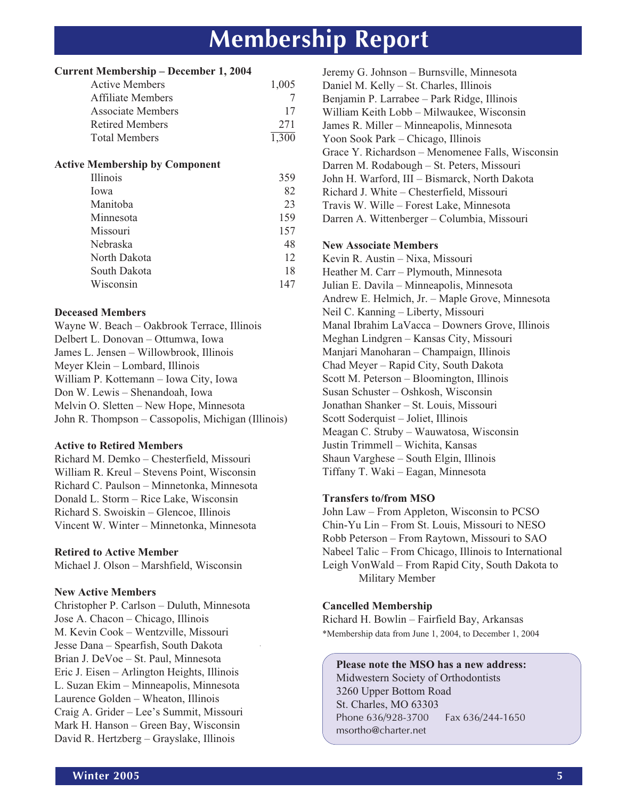## **Membership Report**

|  |  |  | <b>Current Membership - December 1, 2004</b> |  |
|--|--|--|----------------------------------------------|--|
|--|--|--|----------------------------------------------|--|

| <b>Active Members</b>    | 1.005 |
|--------------------------|-------|
| <b>Affiliate Members</b> |       |
| Associate Members        | 17    |
| <b>Retired Members</b>   | 271   |
| Total Members            | 1.300 |

#### **Active Membership by Component**

| Illinois     | 359 |
|--------------|-----|
| Iowa         | 82  |
| Manitoba     | 23  |
| Minnesota    | 159 |
| Missouri     | 157 |
| Nebraska     | 48  |
| North Dakota | 12  |
| South Dakota | 18  |
| Wisconsin    | 147 |
|              |     |

#### **Deceased Members**

Wayne W. Beach – Oakbrook Terrace, Illinois Delbert L. Donovan – Ottumwa, Iowa James L. Jensen – Willowbrook, Illinois Meyer Klein – Lombard, Illinois William P. Kottemann – Iowa City, Iowa Don W. Lewis – Shenandoah, Iowa Melvin O. Sletten – New Hope, Minnesota John R. Thompson – Cassopolis, Michigan (Illinois)

#### **Active to Retired Members**

Richard M. Demko – Chesterfield, Missouri William R. Kreul – Stevens Point, Wisconsin Richard C. Paulson – Minnetonka, Minnesota Donald L. Storm – Rice Lake, Wisconsin Richard S. Swoiskin – Glencoe, Illinois Vincent W. Winter – Minnetonka, Minnesota

#### **Retired to Active Member**

Michael J. Olson – Marshfield, Wisconsin

#### **New Active Members**

Christopher P. Carlson – Duluth, Minnesota Jose A. Chacon – Chicago, Illinois M. Kevin Cook – Wentzville, Missouri Jesse Dana – Spearfish, South Dakota Brian J. DeVoe – St. Paul, Minnesota Eric J. Eisen – Arlington Heights, Illinois L. Suzan Ekim – Minneapolis, Minnesota Laurence Golden – Wheaton, Illinois Craig A. Grider – Lee's Summit, Missouri Mark H. Hanson – Green Bay, Wisconsin David R. Hertzberg – Grayslake, Illinois

Jeremy G. Johnson – Burnsville, Minnesota Daniel M. Kelly – St. Charles, Illinois Benjamin P. Larrabee – Park Ridge, Illinois William Keith Lobb – Milwaukee, Wisconsin James R. Miller – Minneapolis, Minnesota Yoon Sook Park – Chicago, Illinois Grace Y. Richardson – Menomenee Falls, Wisconsin Darren M. Rodabough – St. Peters, Missouri John H. Warford, III – Bismarck, North Dakota Richard J. White – Chesterfield, Missouri Travis W. Wille – Forest Lake, Minnesota Darren A. Wittenberger – Columbia, Missouri **New Associate Members** Kevin R. Austin – Nixa, Missouri Heather M. Carr – Plymouth, Minnesota Julian E. Davila – Minneapolis, Minnesota Andrew E. Helmich, Jr. – Maple Grove, Minnesota Neil C. Kanning – Liberty, Missouri Manal Ibrahim LaVacca – Downers Grove, Illinois Meghan Lindgren – Kansas City, Missouri Manjari Manoharan – Champaign, Illinois Chad Meyer – Rapid City, South Dakota Scott M. Peterson – Bloomington, Illinois Susan Schuster – Oshkosh, Wisconsin Jonathan Shanker – St. Louis, Missouri Scott Soderquist – Joliet, Illinois Meagan C. Struby – Wauwatosa, Wisconsin Justin Trimmell – Wichita, Kansas Shaun Varghese – South Elgin, Illinois Tiffany T. Waki – Eagan, Minnesota

#### **Transfers to/from MSO**

John Law – From Appleton, Wisconsin to PCSO Chin-Yu Lin – From St. Louis, Missouri to NESO Robb Peterson – From Raytown, Missouri to SAO Nabeel Talic – From Chicago, Illinois to International Leigh VonWald – From Rapid City, South Dakota to Military Member

#### **Cancelled Membership**

Richard H. Bowlin – Fairfield Bay, Arkansas \*Membership data from June 1, 2004, to December 1, 2004

**Please note the MSO has a new address:** Midwestern Society of Orthodontists 3260 Upper Bottom Road St. Charles, MO 63303 Phone 636/928-3700 Fax 636/244-1650 msortho@charter.net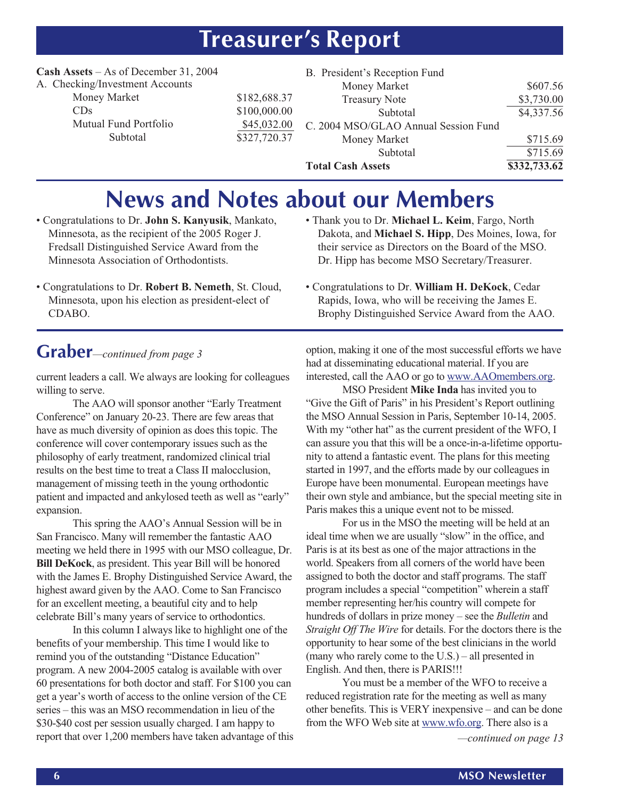## **Treasurer's Report**

#### **Cash Assets** – As of December 31, 2004 A. Checking/Investment Accounts

| ecking/hivesunem Accour |
|-------------------------|
| Money Market            |
| CDs                     |
| Mutual Fund Portfolio   |
| Subtotal                |

| \$182,688.37 |
|--------------|
| \$100,000.00 |
| \$45,032.00  |
| \$327,720.37 |

| B. President's Reception Fund        |              |
|--------------------------------------|--------------|
| Money Market                         | \$607.56     |
| <b>Treasury Note</b>                 | \$3,730.00   |
| Subtotal                             | \$4,337.56   |
| C. 2004 MSO/GLAO Annual Session Fund |              |
| Money Market                         | \$715.69     |
| Subtotal                             | \$715.69     |
| <b>Total Cash Assets</b>             | \$332,733.62 |

## **News and Notes about our Members**

- Congratulations to Dr. **John S. Kanyusik**, Mankato, Minnesota, as the recipient of the 2005 Roger J. Fredsall Distinguished Service Award from the Minnesota Association of Orthodontists.
- Congratulations to Dr. **Robert B. Nemeth**, St. Cloud, Minnesota, upon his election as president-elect of CDABO.
- Thank you to Dr. **Michael L. Keim**, Fargo, North Dakota, and **Michael S. Hipp**, Des Moines, Iowa, for their service as Directors on the Board of the MSO. Dr. Hipp has become MSO Secretary/Treasurer.
- Congratulations to Dr. **William H. DeKock**, Cedar Rapids, Iowa, who will be receiving the James E. Brophy Distinguished Service Award from the AAO.

### **Graber***—continued from page 3*

current leaders a call. We always are looking for colleagues willing to serve.

The AAO will sponsor another "Early Treatment Conference" on January 20-23. There are few areas that have as much diversity of opinion as does this topic. The conference will cover contemporary issues such as the philosophy of early treatment, randomized clinical trial results on the best time to treat a Class II malocclusion, management of missing teeth in the young orthodontic patient and impacted and ankylosed teeth as well as "early" expansion.

This spring the AAO's Annual Session will be in San Francisco. Many will remember the fantastic AAO meeting we held there in 1995 with our MSO colleague, Dr. **Bill DeKock**, as president. This year Bill will be honored with the James E. Brophy Distinguished Service Award, the highest award given by the AAO. Come to San Francisco for an excellent meeting, a beautiful city and to help celebrate Bill's many years of service to orthodontics.

In this column I always like to highlight one of the benefits of your membership. This time I would like to remind you of the outstanding "Distance Education" program. A new 2004-2005 catalog is available with over 60 presentations for both doctor and staff. For \$100 you can get a year's worth of access to the online version of the CE series – this was an MSO recommendation in lieu of the \$30-\$40 cost per session usually charged. I am happy to report that over 1,200 members have taken advantage of this

option, making it one of the most successful efforts we have had at disseminating educational material. If you are interested, call the AAO or go to www.AAOmembers.org.

MSO President **Mike Inda** has invited you to "Give the Gift of Paris" in his President's Report outlining the MSO Annual Session in Paris, September 10-14, 2005. With my "other hat" as the current president of the WFO, I can assure you that this will be a once-in-a-lifetime opportunity to attend a fantastic event. The plans for this meeting started in 1997, and the efforts made by our colleagues in Europe have been monumental. European meetings have their own style and ambiance, but the special meeting site in Paris makes this a unique event not to be missed.

For us in the MSO the meeting will be held at an ideal time when we are usually "slow" in the office, and Paris is at its best as one of the major attractions in the world. Speakers from all corners of the world have been assigned to both the doctor and staff programs. The staff program includes a special "competition" wherein a staff member representing her/his country will compete for hundreds of dollars in prize money – see the *Bulletin* and *Straight Off The Wire* for details. For the doctors there is the opportunity to hear some of the best clinicians in the world (many who rarely come to the U.S.) – all presented in English. And then, there is PARIS!!!

You must be a member of the WFO to receive a reduced registration rate for the meeting as well as many other benefits. This is VERY inexpensive – and can be done from the WFO Web site at www.wfo.org. There also is a *—continued on page 13*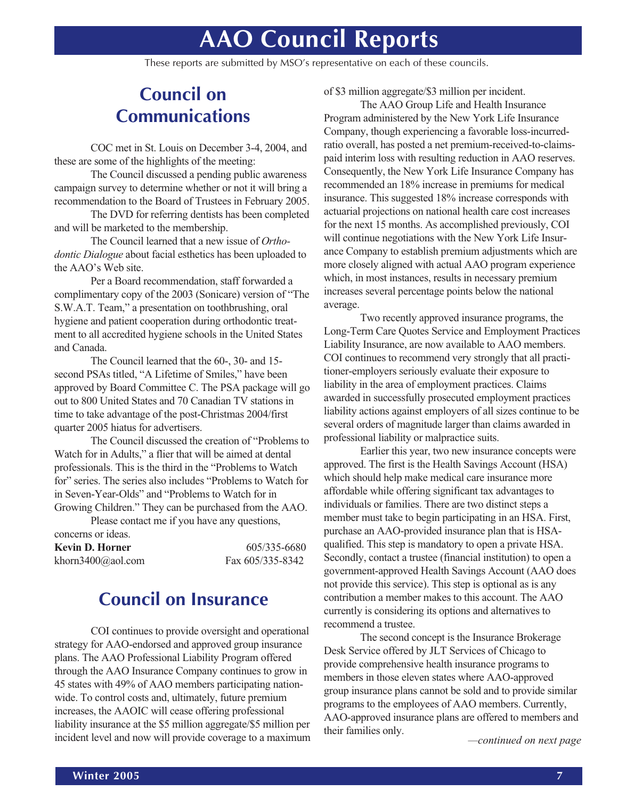## **AAO Council Reports**

These reports are submitted by MSO's representative on each of these councils.

### **Council on Communications**

COC met in St. Louis on December 3-4, 2004, and these are some of the highlights of the meeting:

The Council discussed a pending public awareness campaign survey to determine whether or not it will bring a recommendation to the Board of Trustees in February 2005.

The DVD for referring dentists has been completed and will be marketed to the membership.

The Council learned that a new issue of *Orthodontic Dialogue* about facial esthetics has been uploaded to the AAO's Web site.

Per a Board recommendation, staff forwarded a complimentary copy of the 2003 (Sonicare) version of "The S.W.A.T. Team," a presentation on toothbrushing, oral hygiene and patient cooperation during orthodontic treatment to all accredited hygiene schools in the United States and Canada.

The Council learned that the 60-, 30- and 15 second PSAs titled, "A Lifetime of Smiles," have been approved by Board Committee C. The PSA package will go out to 800 United States and 70 Canadian TV stations in time to take advantage of the post-Christmas 2004/first quarter 2005 hiatus for advertisers.

The Council discussed the creation of "Problems to Watch for in Adults," a flier that will be aimed at dental professionals. This is the third in the "Problems to Watch for" series. The series also includes "Problems to Watch for in Seven-Year-Olds" and "Problems to Watch for in Growing Children." They can be purchased from the AAO.

Please contact me if you have any questions,

| concerns or ideas. |                  |
|--------------------|------------------|
| Kevin D. Horner    | 605/335-6680     |
| khorn3400@aol.com  | Fax 605/335-8342 |

### **Council on Insurance**

COI continues to provide oversight and operational strategy for AAO-endorsed and approved group insurance plans. The AAO Professional Liability Program offered through the AAO Insurance Company continues to grow in 45 states with 49% of AAO members participating nationwide. To control costs and, ultimately, future premium increases, the AAOIC will cease offering professional liability insurance at the \$5 million aggregate/\$5 million per incident level and now will provide coverage to a maximum of \$3 million aggregate/\$3 million per incident.

The AAO Group Life and Health Insurance Program administered by the New York Life Insurance Company, though experiencing a favorable loss-incurredratio overall, has posted a net premium-received-to-claimspaid interim loss with resulting reduction in AAO reserves. Consequently, the New York Life Insurance Company has recommended an 18% increase in premiums for medical insurance. This suggested 18% increase corresponds with actuarial projections on national health care cost increases for the next 15 months. As accomplished previously, COI will continue negotiations with the New York Life Insurance Company to establish premium adjustments which are more closely aligned with actual AAO program experience which, in most instances, results in necessary premium increases several percentage points below the national average.

Two recently approved insurance programs, the Long-Term Care Quotes Service and Employment Practices Liability Insurance, are now available to AAO members. COI continues to recommend very strongly that all practitioner-employers seriously evaluate their exposure to liability in the area of employment practices. Claims awarded in successfully prosecuted employment practices liability actions against employers of all sizes continue to be several orders of magnitude larger than claims awarded in professional liability or malpractice suits.

Earlier this year, two new insurance concepts were approved. The first is the Health Savings Account (HSA) which should help make medical care insurance more affordable while offering significant tax advantages to individuals or families. There are two distinct steps a member must take to begin participating in an HSA. First, purchase an AAO-provided insurance plan that is HSAqualified. This step is mandatory to open a private HSA. Secondly, contact a trustee (financial institution) to open a government-approved Health Savings Account (AAO does not provide this service). This step is optional as is any contribution a member makes to this account. The AAO currently is considering its options and alternatives to recommend a trustee.

The second concept is the Insurance Brokerage Desk Service offered by JLT Services of Chicago to provide comprehensive health insurance programs to members in those eleven states where AAO-approved group insurance plans cannot be sold and to provide similar programs to the employees of AAO members. Currently, AAO-approved insurance plans are offered to members and their families only.

*—continued on next page*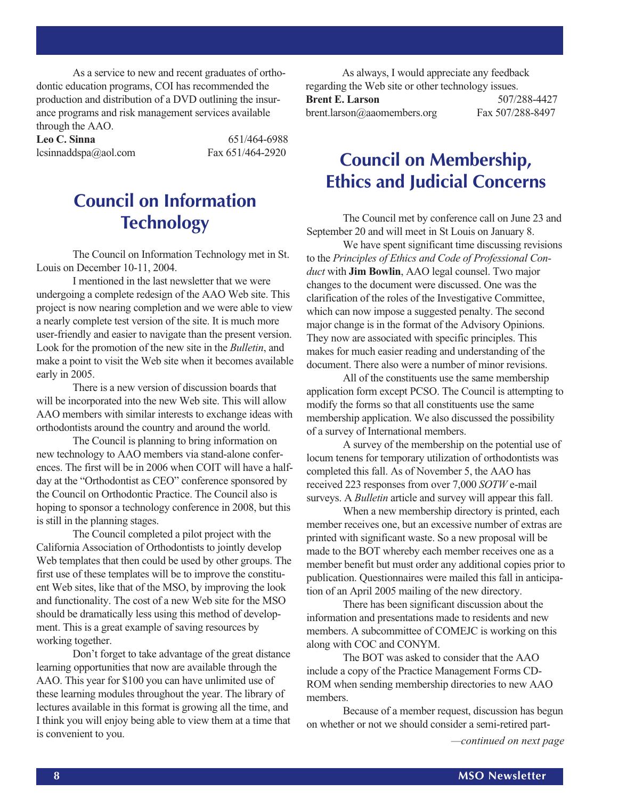As a service to new and recent graduates of orthodontic education programs, COI has recommended the production and distribution of a DVD outlining the insurance programs and risk management services available through the AAO.

Leo C. Sinna 651/464-6988 lcsinnaddspa@aol.com Fax 651/464-2920

### **Council on Information Technology**

The Council on Information Technology met in St. Louis on December 10-11, 2004.

I mentioned in the last newsletter that we were undergoing a complete redesign of the AAO Web site. This project is now nearing completion and we were able to view a nearly complete test version of the site. It is much more user-friendly and easier to navigate than the present version. Look for the promotion of the new site in the *Bulletin*, and make a point to visit the Web site when it becomes available early in 2005.

There is a new version of discussion boards that will be incorporated into the new Web site. This will allow AAO members with similar interests to exchange ideas with orthodontists around the country and around the world.

The Council is planning to bring information on new technology to AAO members via stand-alone conferences. The first will be in 2006 when COIT will have a halfday at the "Orthodontist as CEO" conference sponsored by the Council on Orthodontic Practice. The Council also is hoping to sponsor a technology conference in 2008, but this is still in the planning stages.

The Council completed a pilot project with the California Association of Orthodontists to jointly develop Web templates that then could be used by other groups. The first use of these templates will be to improve the constituent Web sites, like that of the MSO, by improving the look and functionality. The cost of a new Web site for the MSO should be dramatically less using this method of development. This is a great example of saving resources by working together.

Don't forget to take advantage of the great distance learning opportunities that now are available through the AAO. This year for \$100 you can have unlimited use of these learning modules throughout the year. The library of lectures available in this format is growing all the time, and I think you will enjoy being able to view them at a time that is convenient to you.

As always, I would appreciate any feedback regarding the Web site or other technology issues. **Brent E. Larson** 507/288-4427 brent.larson@aaomembers.org Fax 507/288-8497

### **Council on Membership, Ethics and Judicial Concerns**

The Council met by conference call on June 23 and September 20 and will meet in St Louis on January 8.

We have spent significant time discussing revisions to the *Principles of Ethics and Code of Professional Conduct* with **Jim Bowlin**, AAO legal counsel. Two major changes to the document were discussed. One was the clarification of the roles of the Investigative Committee, which can now impose a suggested penalty. The second major change is in the format of the Advisory Opinions. They now are associated with specific principles. This makes for much easier reading and understanding of the document. There also were a number of minor revisions.

All of the constituents use the same membership application form except PCSO. The Council is attempting to modify the forms so that all constituents use the same membership application. We also discussed the possibility of a survey of International members.

A survey of the membership on the potential use of locum tenens for temporary utilization of orthodontists was completed this fall. As of November 5, the AAO has received 223 responses from over 7,000 *SOTW* e-mail surveys. A *Bulletin* article and survey will appear this fall.

When a new membership directory is printed, each member receives one, but an excessive number of extras are printed with significant waste. So a new proposal will be made to the BOT whereby each member receives one as a member benefit but must order any additional copies prior to publication. Questionnaires were mailed this fall in anticipation of an April 2005 mailing of the new directory.

There has been significant discussion about the information and presentations made to residents and new members. A subcommittee of COMEJC is working on this along with COC and CONYM.

The BOT was asked to consider that the AAO include a copy of the Practice Management Forms CD-ROM when sending membership directories to new AAO members.

Because of a member request, discussion has begun on whether or not we should consider a semi-retired part-

*—continued on next page*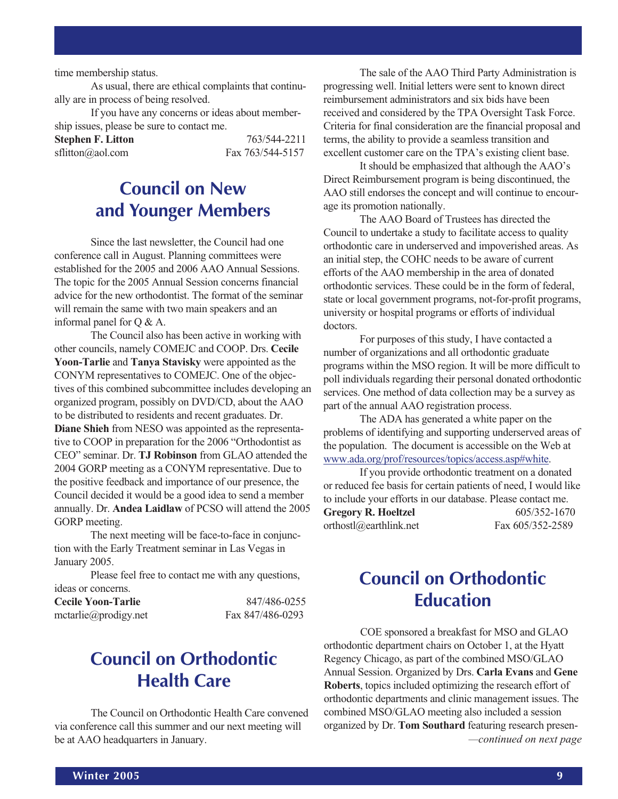time membership status.

As usual, there are ethical complaints that continually are in process of being resolved.

If you have any concerns or ideas about membership issues, please be sure to contact me.

**Stephen F. Litton** 763/544-2211 sflitton@aol.com Fax 763/544-5157

### **Council on New and Younger Members**

Since the last newsletter, the Council had one conference call in August. Planning committees were established for the 2005 and 2006 AAO Annual Sessions. The topic for the 2005 Annual Session concerns financial advice for the new orthodontist. The format of the seminar will remain the same with two main speakers and an informal panel for Q & A.

The Council also has been active in working with other councils, namely COMEJC and COOP. Drs. **Cecile Yoon-Tarlie** and **Tanya Stavisky** were appointed as the CONYM representatives to COMEJC. One of the objectives of this combined subcommittee includes developing an organized program, possibly on DVD/CD, about the AAO to be distributed to residents and recent graduates. Dr. **Diane Shieh** from NESO was appointed as the representative to COOP in preparation for the 2006 "Orthodontist as CEO" seminar. Dr. **TJ Robinson** from GLAO attended the 2004 GORP meeting as a CONYM representative. Due to the positive feedback and importance of our presence, the Council decided it would be a good idea to send a member annually. Dr. **Andea Laidlaw** of PCSO will attend the 2005 GORP meeting.

The next meeting will be face-to-face in conjunction with the Early Treatment seminar in Las Vegas in January 2005.

Please feel free to contact me with any questions, ideas or concerns.

**Cecile Yoon-Tarlie** 847/486-0255 mctarlie@prodigy.net Fax 847/486-0293

### **Council on Orthodontic Health Care**

The Council on Orthodontic Health Care convened via conference call this summer and our next meeting will be at AAO headquarters in January.

The sale of the AAO Third Party Administration is progressing well. Initial letters were sent to known direct reimbursement administrators and six bids have been received and considered by the TPA Oversight Task Force. Criteria for final consideration are the financial proposal and terms, the ability to provide a seamless transition and excellent customer care on the TPA's existing client base.

It should be emphasized that although the AAO's Direct Reimbursement program is being discontinued, the AAO still endorses the concept and will continue to encourage its promotion nationally.

The AAO Board of Trustees has directed the Council to undertake a study to facilitate access to quality orthodontic care in underserved and impoverished areas. As an initial step, the COHC needs to be aware of current efforts of the AAO membership in the area of donated orthodontic services. These could be in the form of federal, state or local government programs, not-for-profit programs, university or hospital programs or efforts of individual doctors.

For purposes of this study, I have contacted a number of organizations and all orthodontic graduate programs within the MSO region. It will be more difficult to poll individuals regarding their personal donated orthodontic services. One method of data collection may be a survey as part of the annual AAO registration process.

The ADA has generated a white paper on the problems of identifying and supporting underserved areas of the population. The document is accessible on the Web at www.ada.org/prof/resources/topics/access.asp#white.

If you provide orthodontic treatment on a donated or reduced fee basis for certain patients of need, I would like to include your efforts in our database. Please contact me. **Gregory R. Hoeltzel** 605/352-1670 orthostl@earthlink.net Fax 605/352-2589

### **Council on Orthodontic Education**

*—continued on next page* COE sponsored a breakfast for MSO and GLAO orthodontic department chairs on October 1, at the Hyatt Regency Chicago, as part of the combined MSO/GLAO Annual Session. Organized by Drs. **Carla Evans** and **Gene Roberts**, topics included optimizing the research effort of orthodontic departments and clinic management issues. The combined MSO/GLAO meeting also included a session organized by Dr. **Tom Southard** featuring research presen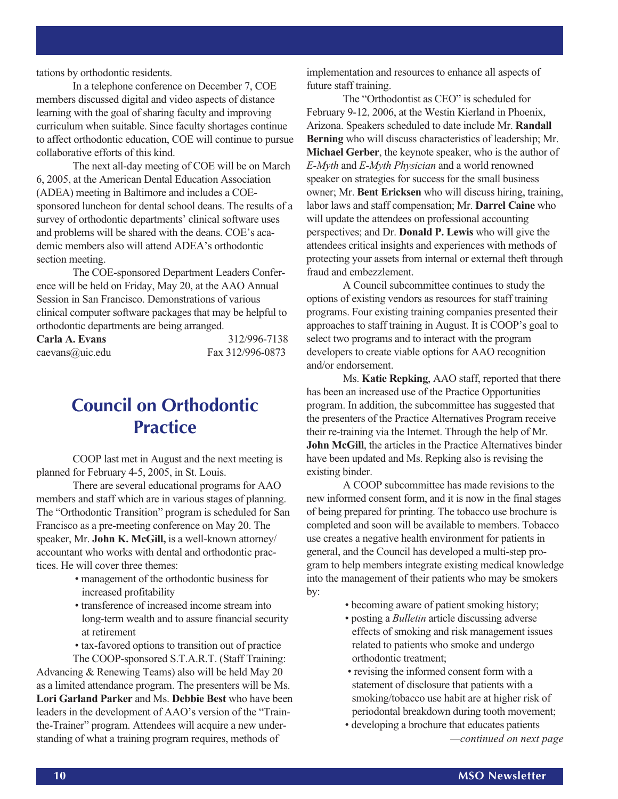tations by orthodontic residents.

In a telephone conference on December 7, COE members discussed digital and video aspects of distance learning with the goal of sharing faculty and improving curriculum when suitable. Since faculty shortages continue to affect orthodontic education, COE will continue to pursue collaborative efforts of this kind.

The next all-day meeting of COE will be on March 6, 2005, at the American Dental Education Association (ADEA) meeting in Baltimore and includes a COEsponsored luncheon for dental school deans. The results of a survey of orthodontic departments' clinical software uses and problems will be shared with the deans. COE's academic members also will attend ADEA's orthodontic section meeting.

The COE-sponsored Department Leaders Conference will be held on Friday, May 20, at the AAO Annual Session in San Francisco. Demonstrations of various clinical computer software packages that may be helpful to orthodontic departments are being arranged.

| Carla A. Evans  | 312/996-7138     |
|-----------------|------------------|
| caevans@uic.edu | Fax 312/996-0873 |

### **Council on Orthodontic Practice**

COOP last met in August and the next meeting is planned for February 4-5, 2005, in St. Louis.

There are several educational programs for AAO members and staff which are in various stages of planning. The "Orthodontic Transition" program is scheduled for San Francisco as a pre-meeting conference on May 20. The speaker, Mr. **John K. McGill,** is a well-known attorney/ accountant who works with dental and orthodontic practices. He will cover three themes:

- management of the orthodontic business for increased profitability
- transference of increased income stream into long-term wealth and to assure financial security at retirement
- tax-favored options to transition out of practice The COOP-sponsored S.T.A.R.T. (Staff Training:

Advancing & Renewing Teams) also will be held May 20 as a limited attendance program. The presenters will be Ms. **Lori Garland Parker** and Ms. **Debbie Best** who have been leaders in the development of AAO's version of the "Trainthe-Trainer" program. Attendees will acquire a new understanding of what a training program requires, methods of

implementation and resources to enhance all aspects of future staff training.

The "Orthodontist as CEO" is scheduled for February 9-12, 2006, at the Westin Kierland in Phoenix, Arizona. Speakers scheduled to date include Mr. **Randall Berning** who will discuss characteristics of leadership; Mr. **Michael Gerber**, the keynote speaker, who is the author of *E-Myth* and *E-Myth Physician* and a world renowned speaker on strategies for success for the small business owner; Mr. **Bent Ericksen** who will discuss hiring, training, labor laws and staff compensation; Mr. **Darrel Caine** who will update the attendees on professional accounting perspectives; and Dr. **Donald P. Lewis** who will give the attendees critical insights and experiences with methods of protecting your assets from internal or external theft through fraud and embezzlement.

A Council subcommittee continues to study the options of existing vendors as resources for staff training programs. Four existing training companies presented their approaches to staff training in August. It is COOP's goal to select two programs and to interact with the program developers to create viable options for AAO recognition and/or endorsement.

Ms. **Katie Repking**, AAO staff, reported that there has been an increased use of the Practice Opportunities program. In addition, the subcommittee has suggested that the presenters of the Practice Alternatives Program receive their re-training via the Internet. Through the help of Mr. **John McGill**, the articles in the Practice Alternatives binder have been updated and Ms. Repking also is revising the existing binder.

A COOP subcommittee has made revisions to the new informed consent form, and it is now in the final stages of being prepared for printing. The tobacco use brochure is completed and soon will be available to members. Tobacco use creates a negative health environment for patients in general, and the Council has developed a multi-step program to help members integrate existing medical knowledge into the management of their patients who may be smokers by:

- becoming aware of patient smoking history;
- posting a *Bulletin* article discussing adverse effects of smoking and risk management issues related to patients who smoke and undergo orthodontic treatment;
- revising the informed consent form with a statement of disclosure that patients with a smoking/tobacco use habit are at higher risk of periodontal breakdown during tooth movement;
- *—continued on next page* • developing a brochure that educates patients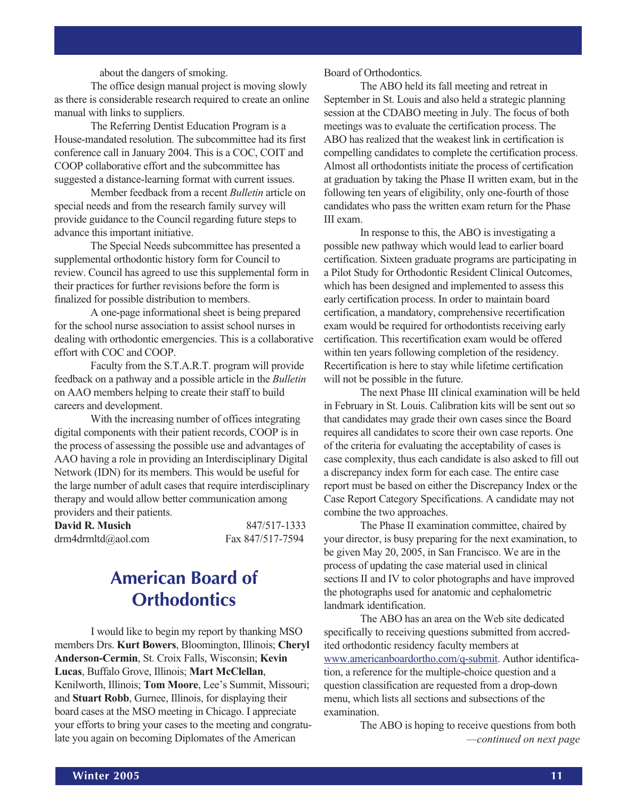#### about the dangers of smoking.

The office design manual project is moving slowly as there is considerable research required to create an online manual with links to suppliers.

The Referring Dentist Education Program is a House-mandated resolution. The subcommittee had its first conference call in January 2004. This is a COC, COIT and COOP collaborative effort and the subcommittee has suggested a distance-learning format with current issues.

Member feedback from a recent *Bulletin* article on special needs and from the research family survey will provide guidance to the Council regarding future steps to advance this important initiative.

The Special Needs subcommittee has presented a supplemental orthodontic history form for Council to review. Council has agreed to use this supplemental form in their practices for further revisions before the form is finalized for possible distribution to members.

A one-page informational sheet is being prepared for the school nurse association to assist school nurses in dealing with orthodontic emergencies. This is a collaborative effort with COC and COOP.

Faculty from the S.T.A.R.T. program will provide feedback on a pathway and a possible article in the *Bulletin* on AAO members helping to create their staff to build careers and development.

With the increasing number of offices integrating digital components with their patient records, COOP is in the process of assessing the possible use and advantages of AAO having a role in providing an Interdisciplinary Digital Network (IDN) for its members. This would be useful for the large number of adult cases that require interdisciplinary therapy and would allow better communication among providers and their patients.

| David R. Musich    | 847/517-1333     |
|--------------------|------------------|
| drm4drmltd@aol.com | Fax 847/517-7594 |

### **American Board of Orthodontics**

I would like to begin my report by thanking MSO members Drs. **Kurt Bowers**, Bloomington, Illinois; **Cheryl Anderson-Cermin**, St. Croix Falls, Wisconsin; **Kevin Lucas**, Buffalo Grove, Illinois; **Mart McClellan**, Kenilworth, Illinois; **Tom Moore**, Lee's Summit, Missouri; and **Stuart Robb**, Gurnee, Illinois, for displaying their board cases at the MSO meeting in Chicago. I appreciate your efforts to bring your cases to the meeting and congratulate you again on becoming Diplomates of the American

#### Board of Orthodontics.

The ABO held its fall meeting and retreat in September in St. Louis and also held a strategic planning session at the CDABO meeting in July. The focus of both meetings was to evaluate the certification process. The ABO has realized that the weakest link in certification is compelling candidates to complete the certification process. Almost all orthodontists initiate the process of certification at graduation by taking the Phase II written exam, but in the following ten years of eligibility, only one-fourth of those candidates who pass the written exam return for the Phase III exam.

In response to this, the ABO is investigating a possible new pathway which would lead to earlier board certification. Sixteen graduate programs are participating in a Pilot Study for Orthodontic Resident Clinical Outcomes, which has been designed and implemented to assess this early certification process. In order to maintain board certification, a mandatory, comprehensive recertification exam would be required for orthodontists receiving early certification. This recertification exam would be offered within ten years following completion of the residency. Recertification is here to stay while lifetime certification will not be possible in the future.

The next Phase III clinical examination will be held in February in St. Louis. Calibration kits will be sent out so that candidates may grade their own cases since the Board requires all candidates to score their own case reports. One of the criteria for evaluating the acceptability of cases is case complexity, thus each candidate is also asked to fill out a discrepancy index form for each case. The entire case report must be based on either the Discrepancy Index or the Case Report Category Specifications. A candidate may not combine the two approaches.

The Phase II examination committee, chaired by your director, is busy preparing for the next examination, to be given May 20, 2005, in San Francisco. We are in the process of updating the case material used in clinical sections II and IV to color photographs and have improved the photographs used for anatomic and cephalometric landmark identification.

The ABO has an area on the Web site dedicated specifically to receiving questions submitted from accredited orthodontic residency faculty members at www.americanboardortho.com/q-submit. Author identification, a reference for the multiple-choice question and a question classification are requested from a drop-down menu, which lists all sections and subsections of the examination.

> *—continued on next page* The ABO is hoping to receive questions from both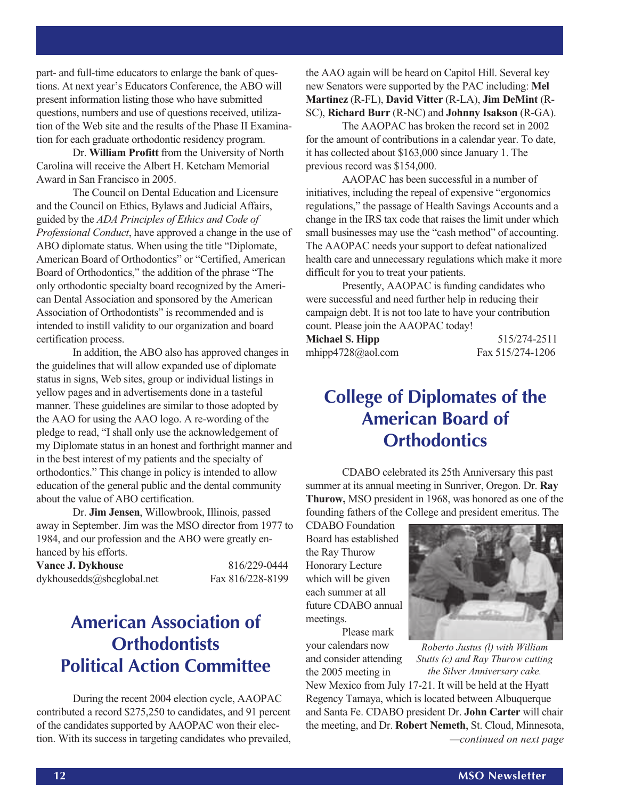part- and full-time educators to enlarge the bank of questions. At next year's Educators Conference, the ABO will present information listing those who have submitted questions, numbers and use of questions received, utilization of the Web site and the results of the Phase II Examination for each graduate orthodontic residency program.

Dr. **William Profitt** from the University of North Carolina will receive the Albert H. Ketcham Memorial Award in San Francisco in 2005.

The Council on Dental Education and Licensure and the Council on Ethics, Bylaws and Judicial Affairs, guided by the *ADA Principles of Ethics and Code of Professional Conduct*, have approved a change in the use of ABO diplomate status. When using the title "Diplomate, American Board of Orthodontics" or "Certified, American Board of Orthodontics," the addition of the phrase "The only orthodontic specialty board recognized by the American Dental Association and sponsored by the American Association of Orthodontists" is recommended and is intended to instill validity to our organization and board certification process.

In addition, the ABO also has approved changes in the guidelines that will allow expanded use of diplomate status in signs, Web sites, group or individual listings in yellow pages and in advertisements done in a tasteful manner. These guidelines are similar to those adopted by the AAO for using the AAO logo. A re-wording of the pledge to read, "I shall only use the acknowledgement of my Diplomate status in an honest and forthright manner and in the best interest of my patients and the specialty of orthodontics." This change in policy is intended to allow education of the general public and the dental community about the value of ABO certification.

Dr. **Jim Jensen**, Willowbrook, Illinois, passed away in September. Jim was the MSO director from 1977 to 1984, and our profession and the ABO were greatly enhanced by his efforts.

**Vance J. Dykhouse** 816/229-0444 dykhousedds@sbcglobal.net Fax 816/228-8199

### **American Association of Orthodontists Political Action Committee**

During the recent 2004 election cycle, AAOPAC contributed a record \$275,250 to candidates, and 91 percent of the candidates supported by AAOPAC won their election. With its success in targeting candidates who prevailed,

the AAO again will be heard on Capitol Hill. Several key new Senators were supported by the PAC including: **Mel Martinez** (R-FL), **David Vitter** (R-LA), **Jim DeMint** (R-SC), **Richard Burr** (R-NC) and **Johnny Isakson** (R-GA).

The AAOPAC has broken the record set in 2002 for the amount of contributions in a calendar year. To date, it has collected about \$163,000 since January 1. The previous record was \$154,000.

AAOPAC has been successful in a number of initiatives, including the repeal of expensive "ergonomics regulations," the passage of Health Savings Accounts and a change in the IRS tax code that raises the limit under which small businesses may use the "cash method" of accounting. The AAOPAC needs your support to defeat nationalized health care and unnecessary regulations which make it more difficult for you to treat your patients.

Presently, AAOPAC is funding candidates who were successful and need further help in reducing their campaign debt. It is not too late to have your contribution count. Please join the AAOPAC today!

| Michael S. Hipp   | 515/274-2511     |
|-------------------|------------------|
| mhipp4728@aol.com | Fax 515/274-1206 |

### **College of Diplomates of the American Board of Orthodontics**

CDABO celebrated its 25th Anniversary this past summer at its annual meeting in Sunriver, Oregon. Dr. **Ray Thurow,** MSO president in 1968, was honored as one of the founding fathers of the College and president emeritus. The

CDABO Foundation Board has established the Ray Thurow Honorary Lecture which will be given each summer at all future CDABO annual meetings.

your calendars now and consider attending the 2005 meeting in

Please mark



*Roberto Justus (l) with William Stutts (c) and Ray Thurow cutting the Silver Anniversary cake.*

*—continued on next page* New Mexico from July 17-21. It will be held at the Hyatt Regency Tamaya, which is located between Albuquerque and Santa Fe. CDABO president Dr. **John Carter** will chair the meeting, and Dr. **Robert Nemeth**, St. Cloud, Minnesota,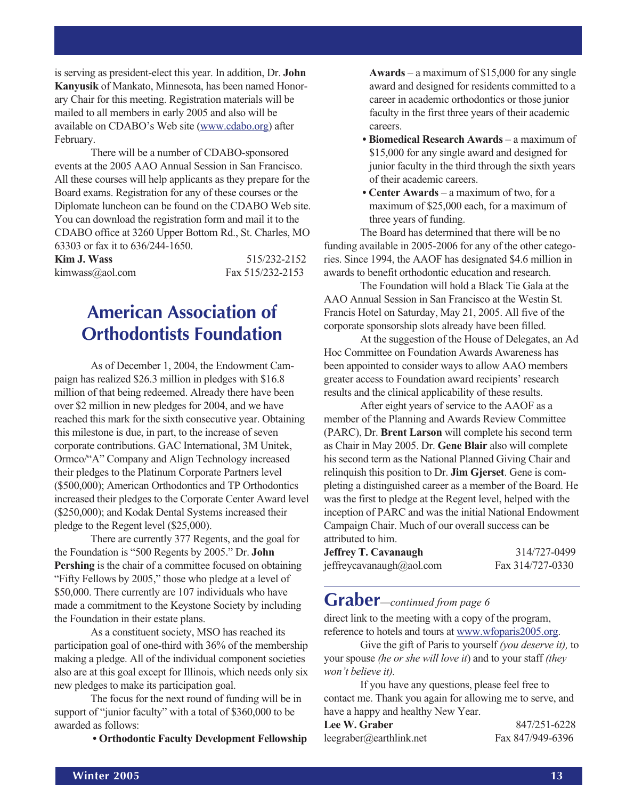is serving as president-elect this year. In addition, Dr. **John Kanyusik** of Mankato, Minnesota, has been named Honorary Chair for this meeting. Registration materials will be mailed to all members in early 2005 and also will be available on CDABO's Web site (www.cdabo.org) after February.

There will be a number of CDABO-sponsored events at the 2005 AAO Annual Session in San Francisco. All these courses will help applicants as they prepare for the Board exams. Registration for any of these courses or the Diplomate luncheon can be found on the CDABO Web site. You can download the registration form and mail it to the CDABO office at 3260 Upper Bottom Rd., St. Charles, MO 63303 or fax it to 636/244-1650.

| $0.000$ of tax it to $0.002$ if the solution of $\sim$ |                  |
|--------------------------------------------------------|------------------|
| Kim J. Wass                                            | 515/232-2152     |
| kimwass@aol.com                                        | Fax 515/232-2153 |

### **American Association of Orthodontists Foundation**

As of December 1, 2004, the Endowment Campaign has realized \$26.3 million in pledges with \$16.8 million of that being redeemed. Already there have been over \$2 million in new pledges for 2004, and we have reached this mark for the sixth consecutive year. Obtaining this milestone is due, in part, to the increase of seven corporate contributions. GAC International, 3M Unitek, Ormco/"A" Company and Align Technology increased their pledges to the Platinum Corporate Partners level (\$500,000); American Orthodontics and TP Orthodontics increased their pledges to the Corporate Center Award level (\$250,000); and Kodak Dental Systems increased their pledge to the Regent level (\$25,000).

There are currently 377 Regents, and the goal for the Foundation is "500 Regents by 2005." Dr. **John Pershing** is the chair of a committee focused on obtaining "Fifty Fellows by 2005," those who pledge at a level of \$50,000. There currently are 107 individuals who have made a commitment to the Keystone Society by including the Foundation in their estate plans.

As a constituent society, MSO has reached its participation goal of one-third with 36% of the membership making a pledge. All of the individual component societies also are at this goal except for Illinois, which needs only six new pledges to make its participation goal.

The focus for the next round of funding will be in support of "junior faculty" with a total of \$360,000 to be awarded as follows:

**• Orthodontic Faculty Development Fellowship**

**Awards** – a maximum of \$15,000 for any single award and designed for residents committed to a career in academic orthodontics or those junior faculty in the first three years of their academic careers.

- **Biomedical Research Awards** a maximum of \$15,000 for any single award and designed for junior faculty in the third through the sixth years of their academic careers.
- **Center Awards** a maximum of two, for a maximum of \$25,000 each, for a maximum of three years of funding.

The Board has determined that there will be no funding available in 2005-2006 for any of the other categories. Since 1994, the AAOF has designated \$4.6 million in awards to benefit orthodontic education and research.

The Foundation will hold a Black Tie Gala at the AAO Annual Session in San Francisco at the Westin St. Francis Hotel on Saturday, May 21, 2005. All five of the corporate sponsorship slots already have been filled.

At the suggestion of the House of Delegates, an Ad Hoc Committee on Foundation Awards Awareness has been appointed to consider ways to allow AAO members greater access to Foundation award recipients' research results and the clinical applicability of these results.

After eight years of service to the AAOF as a member of the Planning and Awards Review Committee (PARC), Dr. **Brent Larson** will complete his second term as Chair in May 2005. Dr. **Gene Blair** also will complete his second term as the National Planned Giving Chair and relinquish this position to Dr. **Jim Gjerset**. Gene is completing a distinguished career as a member of the Board. He was the first to pledge at the Regent level, helped with the inception of PARC and was the initial National Endowment Campaign Chair. Much of our overall success can be attributed to him.

| Jeffrey T. Cavanaugh     | 314/727-0499     |
|--------------------------|------------------|
| jeffreycavanaugh@aol.com | Fax 314/727-0330 |

### **Graber***—continued from page 6*

direct link to the meeting with a copy of the program, reference to hotels and tours at www.wfoparis2005.org.

Give the gift of Paris to yourself *(you deserve it),* to your spouse *(he or she will love it*) and to your staff *(they won't believe it).*

If you have any questions, please feel free to contact me. Thank you again for allowing me to serve, and have a happy and healthy New Year.

| <b>Lee W. Graber</b>    | 847/251-6228     |
|-------------------------|------------------|
| leegraber@earthlink.net | Fax 847/949-6396 |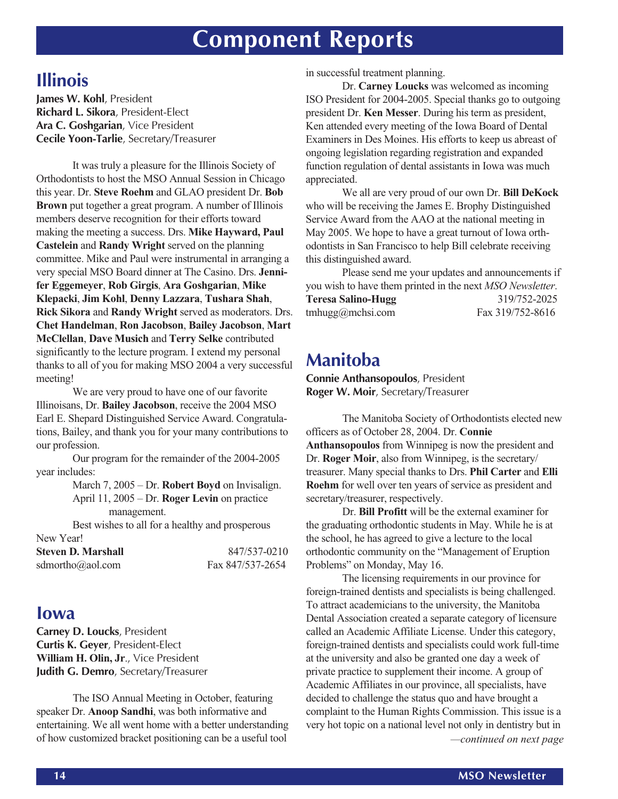## **Component Reports**

### **Illinois**

**James W. Kohl**, President **Richard L. Sikora**, President-Elect **Ara C. Goshgarian**, Vice President **Cecile Yoon-Tarlie**, Secretary/Treasurer

It was truly a pleasure for the Illinois Society of Orthodontists to host the MSO Annual Session in Chicago this year. Dr. **Steve Roehm** and GLAO president Dr. **Bob Brown** put together a great program. A number of Illinois members deserve recognition for their efforts toward making the meeting a success. Drs. **Mike Hayward, Paul Castelein** and **Randy Wright** served on the planning committee. Mike and Paul were instrumental in arranging a very special MSO Board dinner at The Casino. Drs. **Jennifer Eggemeyer**, **Rob Girgis**, **Ara Goshgarian**, **Mike Klepacki**, **Jim Kohl**, **Denny Lazzara**, **Tushara Shah**, **Rick Sikora** and **Randy Wright** served as moderators. Drs. **Chet Handelman**, **Ron Jacobson**, **Bailey Jacobson**, **Mart McClellan**, **Dave Musich** and **Terry Selke** contributed significantly to the lecture program. I extend my personal thanks to all of you for making MSO 2004 a very successful meeting!

We are very proud to have one of our favorite Illinoisans, Dr. **Bailey Jacobson**, receive the 2004 MSO Earl E. Shepard Distinguished Service Award. Congratulations, Bailey, and thank you for your many contributions to our profession.

Our program for the remainder of the 2004-2005 year includes:

> March 7, 2005 – Dr. **Robert Boyd** on Invisalign. April 11, 2005 – Dr. **Roger Levin** on practice management.

Best wishes to all for a healthy and prosperous New Year!

| <b>Steven D. Marshall</b> | 847/537-0210     |
|---------------------------|------------------|
| sdmortho@aol.com          | Fax 847/537-2654 |

### **Iowa**

**Carney D. Loucks**, President **Curtis K. Geyer**, President-Elect **William H. Olin, Jr**., Vice President **Judith G. Demro**, Secretary/Treasurer

The ISO Annual Meeting in October, featuring speaker Dr. **Anoop Sandhi**, was both informative and entertaining. We all went home with a better understanding of how customized bracket positioning can be a useful tool

in successful treatment planning.

Dr. **Carney Loucks** was welcomed as incoming ISO President for 2004-2005. Special thanks go to outgoing president Dr. **Ken Messer**. During his term as president, Ken attended every meeting of the Iowa Board of Dental Examiners in Des Moines. His efforts to keep us abreast of ongoing legislation regarding registration and expanded function regulation of dental assistants in Iowa was much appreciated.

We all are very proud of our own Dr. **Bill DeKock** who will be receiving the James E. Brophy Distinguished Service Award from the AAO at the national meeting in May 2005. We hope to have a great turnout of Iowa orthodontists in San Francisco to help Bill celebrate receiving this distinguished award.

Please send me your updates and announcements if you wish to have them printed in the next *MSO Newsletter*. **Teresa Salino-Hugg** 319/752-2025 tmhugg@mchsi.com Fax 319/752-8616

### **Manitoba**

**Connie Anthansopoulos**, President **Roger W. Moir**, Secretary/Treasurer

The Manitoba Society of Orthodontists elected new officers as of October 28, 2004. Dr. **Connie Anthansopoulos** from Winnipeg is now the president and Dr. **Roger Moir**, also from Winnipeg, is the secretary/ treasurer. Many special thanks to Drs. **Phil Carter** and **Elli Roehm** for well over ten years of service as president and secretary/treasurer, respectively.

Dr. **Bill Profitt** will be the external examiner for the graduating orthodontic students in May. While he is at the school, he has agreed to give a lecture to the local orthodontic community on the "Management of Eruption Problems" on Monday, May 16.

*—continued on next page* The licensing requirements in our province for foreign-trained dentists and specialists is being challenged. To attract academicians to the university, the Manitoba Dental Association created a separate category of licensure called an Academic Affiliate License. Under this category, foreign-trained dentists and specialists could work full-time at the university and also be granted one day a week of private practice to supplement their income. A group of Academic Affiliates in our province, all specialists, have decided to challenge the status quo and have brought a complaint to the Human Rights Commission. This issue is a very hot topic on a national level not only in dentistry but in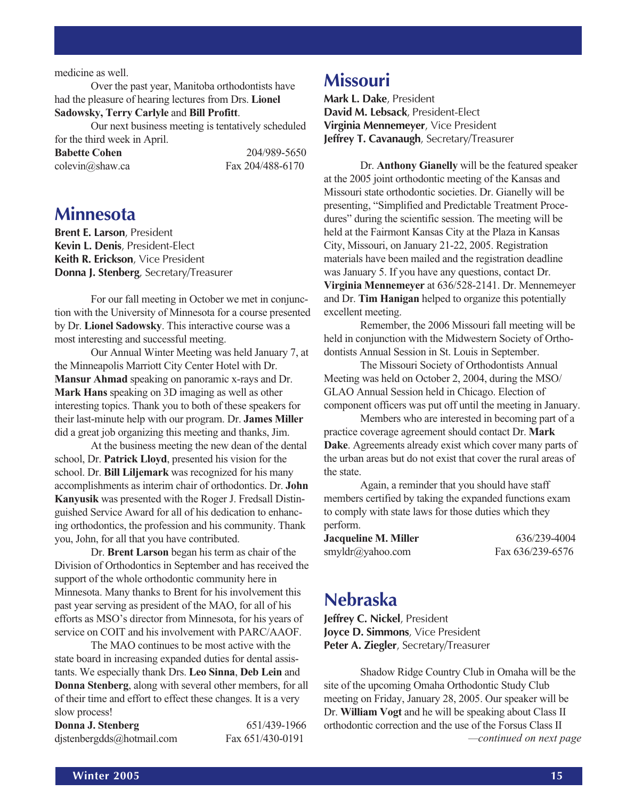#### medicine as well.

Over the past year, Manitoba orthodontists have had the pleasure of hearing lectures from Drs. **Lionel Sadowsky, Terry Carlyle** and **Bill Profitt**.

Our next business meeting is tentatively scheduled for the third week in April.

| <b>Babette Cohen</b>        | 204/989-5650     |
|-----------------------------|------------------|
| $\text{colevin}(a)$ shaw.ca | Fax 204/488-6170 |

### **Minnesota**

**Brent E. Larson**, President **Kevin L. Denis**, President-Elect **Keith R. Erickson**, Vice President **Donna J. Stenberg**, Secretary/Treasurer

For our fall meeting in October we met in conjunction with the University of Minnesota for a course presented by Dr. **Lionel Sadowsky**. This interactive course was a most interesting and successful meeting.

Our Annual Winter Meeting was held January 7, at the Minneapolis Marriott City Center Hotel with Dr. **Mansur Ahmad** speaking on panoramic x-rays and Dr. **Mark Hans** speaking on 3D imaging as well as other interesting topics. Thank you to both of these speakers for their last-minute help with our program. Dr. **James Miller** did a great job organizing this meeting and thanks, Jim.

At the business meeting the new dean of the dental school, Dr. **Patrick Lloyd**, presented his vision for the school. Dr. **Bill Liljemark** was recognized for his many accomplishments as interim chair of orthodontics. Dr. **John Kanyusik** was presented with the Roger J. Fredsall Distinguished Service Award for all of his dedication to enhancing orthodontics, the profession and his community. Thank you, John, for all that you have contributed.

Dr. **Brent Larson** began his term as chair of the Division of Orthodontics in September and has received the support of the whole orthodontic community here in Minnesota. Many thanks to Brent for his involvement this past year serving as president of the MAO, for all of his efforts as MSO's director from Minnesota, for his years of service on COIT and his involvement with PARC/AAOF.

The MAO continues to be most active with the state board in increasing expanded duties for dental assistants. We especially thank Drs. **Leo Sinna**, **Deb Lein** and **Donna Stenberg**, along with several other members, for all of their time and effort to effect these changes. It is a very slow process!

| Donna J. Stenberg         | 651/439-1966     |
|---------------------------|------------------|
| djstenbergdds@hotmail.com | Fax 651/430-0191 |

### **Missouri**

**Mark L. Dake**, President **David M. Lebsack**, President-Elect **Virginia Mennemeyer**, Vice President **Jeffrey T. Cavanaugh**, Secretary/Treasurer

Dr. **Anthony Gianelly** will be the featured speaker at the 2005 joint orthodontic meeting of the Kansas and Missouri state orthodontic societies. Dr. Gianelly will be presenting, "Simplified and Predictable Treatment Procedures" during the scientific session. The meeting will be held at the Fairmont Kansas City at the Plaza in Kansas City, Missouri, on January 21-22, 2005. Registration materials have been mailed and the registration deadline was January 5. If you have any questions, contact Dr. **Virginia Mennemeyer** at 636/528-2141. Dr. Mennemeyer and Dr. **Tim Hanigan** helped to organize this potentially excellent meeting.

Remember, the 2006 Missouri fall meeting will be held in conjunction with the Midwestern Society of Orthodontists Annual Session in St. Louis in September.

The Missouri Society of Orthodontists Annual Meeting was held on October 2, 2004, during the MSO/ GLAO Annual Session held in Chicago. Election of component officers was put off until the meeting in January.

Members who are interested in becoming part of a practice coverage agreement should contact Dr. **Mark Dake**. Agreements already exist which cover many parts of the urban areas but do not exist that cover the rural areas of the state.

Again, a reminder that you should have staff members certified by taking the expanded functions exam to comply with state laws for those duties which they perform.

| Jacqueline M. Miller | 636/239-4004     |
|----------------------|------------------|
| smyldr@yahoo.com     | Fax 636/239-6576 |

### **Nebraska**

**Jeffrey C. Nickel**, President **Joyce D. Simmons**, Vice President **Peter A. Ziegler**, Secretary/Treasurer

*—continued on next page* Shadow Ridge Country Club in Omaha will be the site of the upcoming Omaha Orthodontic Study Club meeting on Friday, January 28, 2005. Our speaker will be Dr. **William Vogt** and he will be speaking about Class II orthodontic correction and the use of the Forsus Class II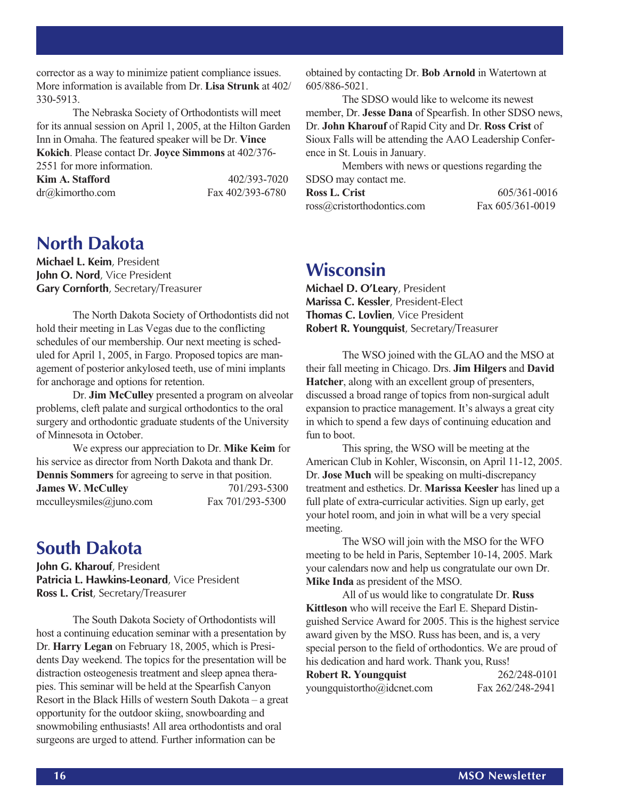corrector as a way to minimize patient compliance issues. More information is available from Dr. **Lisa Strunk** at 402/ 330-5913.

The Nebraska Society of Orthodontists will meet for its annual session on April 1, 2005, at the Hilton Garden Inn in Omaha. The featured speaker will be Dr. **Vince Kokich**. Please contact Dr. **Joyce Simmons** at 402/376- 2551 for more information.

**Kim A. Stafford** 402/393-7020

dr@kimortho.com Fax 402/393-6780

### **North Dakota**

**Michael L. Keim**, President **John O. Nord**, Vice President **Gary Cornforth**, Secretary/Treasurer

The North Dakota Society of Orthodontists did not hold their meeting in Las Vegas due to the conflicting schedules of our membership. Our next meeting is scheduled for April 1, 2005, in Fargo. Proposed topics are management of posterior ankylosed teeth, use of mini implants for anchorage and options for retention.

Dr. **Jim McCulley** presented a program on alveolar problems, cleft palate and surgical orthodontics to the oral surgery and orthodontic graduate students of the University of Minnesota in October.

We express our appreciation to Dr. **Mike Keim** for his service as director from North Dakota and thank Dr. **Dennis Sommers** for agreeing to serve in that position. **James W. McCulley** 701/293-5300 mcculleysmiles@juno.com Fax 701/293-5300

### **South Dakota**

**John G. Kharouf**, President **Patricia L. Hawkins-Leonard**, Vice President **Ross L. Crist**, Secretary/Treasurer

The South Dakota Society of Orthodontists will host a continuing education seminar with a presentation by Dr. **Harry Legan** on February 18, 2005, which is Presidents Day weekend. The topics for the presentation will be distraction osteogenesis treatment and sleep apnea therapies. This seminar will be held at the Spearfish Canyon Resort in the Black Hills of western South Dakota – a great opportunity for the outdoor skiing, snowboarding and snowmobiling enthusiasts! All area orthodontists and oral surgeons are urged to attend. Further information can be

obtained by contacting Dr. **Bob Arnold** in Watertown at 605/886-5021.

The SDSO would like to welcome its newest member, Dr. **Jesse Dana** of Spearfish. In other SDSO news, Dr. **John Kharouf** of Rapid City and Dr. **Ross Crist** of Sioux Falls will be attending the AAO Leadership Conference in St. Louis in January.

Members with news or questions regarding the SDSO may contact me. **Ross L. Crist** 605/361-0016 ross@cristorthodontics.com Fax 605/361-0019

| <b>Wisconsin</b> |  |
|------------------|--|
|                  |  |
|                  |  |

**Michael D. O'Leary**, President **Marissa C. Kessler**, President-Elect **Thomas C. Lovlien**, Vice President **Robert R. Youngquist**, Secretary/Treasurer

The WSO joined with the GLAO and the MSO at their fall meeting in Chicago. Drs. **Jim Hilgers** and **David Hatcher**, along with an excellent group of presenters, discussed a broad range of topics from non-surgical adult expansion to practice management. It's always a great city in which to spend a few days of continuing education and fun to boot.

This spring, the WSO will be meeting at the American Club in Kohler, Wisconsin, on April 11-12, 2005. Dr. **Jose Much** will be speaking on multi-discrepancy treatment and esthetics. Dr. **Marissa Keesler** has lined up a full plate of extra-curricular activities. Sign up early, get your hotel room, and join in what will be a very special meeting.

The WSO will join with the MSO for the WFO meeting to be held in Paris, September 10-14, 2005. Mark your calendars now and help us congratulate our own Dr. **Mike Inda** as president of the MSO.

All of us would like to congratulate Dr. **Russ Kittleson** who will receive the Earl E. Shepard Distinguished Service Award for 2005. This is the highest service award given by the MSO. Russ has been, and is, a very special person to the field of orthodontics. We are proud of his dedication and hard work. Thank you, Russ!

**Robert R. Youngquist** 262/248-0101 youngquistortho@idcnet.com Fax 262/248-2941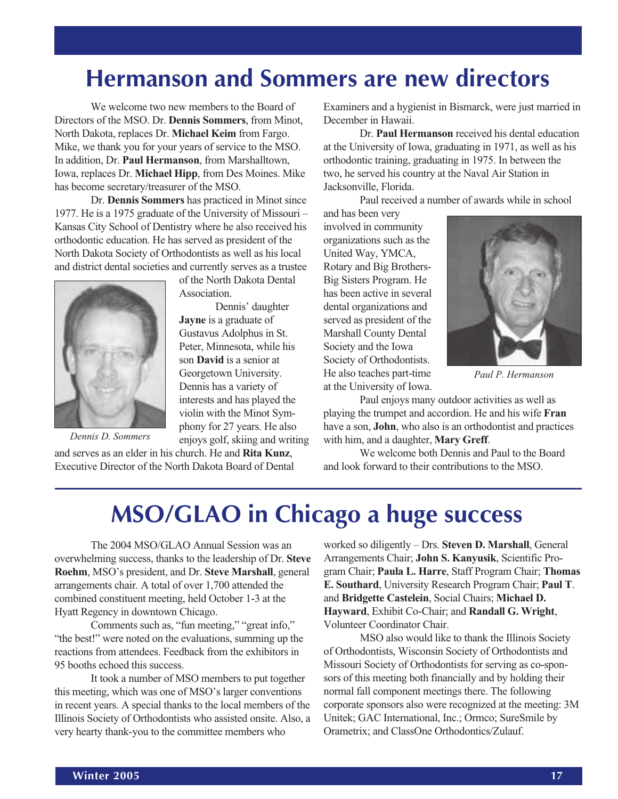## **Hermanson and Sommers are new directors**

We welcome two new members to the Board of Directors of the MSO. Dr. **Dennis Sommers**, from Minot, North Dakota, replaces Dr. **Michael Keim** from Fargo. Mike, we thank you for your years of service to the MSO. In addition, Dr. **Paul Hermanson**, from Marshalltown, Iowa, replaces Dr. **Michael Hipp**, from Des Moines. Mike has become secretary/treasurer of the MSO.

Dr. **Dennis Sommers** has practiced in Minot since 1977. He is a 1975 graduate of the University of Missouri – Kansas City School of Dentistry where he also received his orthodontic education. He has served as president of the North Dakota Society of Orthodontists as well as his local and district dental societies and currently serves as a trustee

of the North Dakota Dental

**Jayne** is a graduate of Gustavus Adolphus in St. Peter, Minnesota, while his son **David** is a senior at Georgetown University. Dennis has a variety of interests and has played the violin with the Minot Symphony for 27 years. He also enjoys golf, skiing and writing

Dennis' daughter

Association.



*Dennis D. Sommers*

and serves as an elder in his church. He and **Rita Kunz**, Executive Director of the North Dakota Board of Dental Examiners and a hygienist in Bismarck, were just married in December in Hawaii.

Dr. **Paul Hermanson** received his dental education at the University of Iowa, graduating in 1971, as well as his orthodontic training, graduating in 1975. In between the two, he served his country at the Naval Air Station in Jacksonville, Florida.

Paul received a number of awards while in school

and has been very involved in community organizations such as the United Way, YMCA, Rotary and Big Brothers-Big Sisters Program. He has been active in several dental organizations and served as president of the Marshall County Dental Society and the Iowa Society of Orthodontists. He also teaches part-time at the University of Iowa.



*Paul P. Hermanson*

Paul enjoys many outdoor activities as well as playing the trumpet and accordion. He and his wife **Fran** have a son, **John**, who also is an orthodontist and practices with him, and a daughter, **Mary Greff**.

We welcome both Dennis and Paul to the Board and look forward to their contributions to the MSO.

## **MSO/GLAO in Chicago a huge success**

The 2004 MSO/GLAO Annual Session was an overwhelming success, thanks to the leadership of Dr. **Steve Roehm**, MSO's president, and Dr. **Steve Marshall**, general arrangements chair. A total of over 1,700 attended the combined constituent meeting, held October 1-3 at the Hyatt Regency in downtown Chicago.

Comments such as, "fun meeting," "great info," "the best!" were noted on the evaluations, summing up the reactions from attendees. Feedback from the exhibitors in 95 booths echoed this success.

It took a number of MSO members to put together this meeting, which was one of MSO's larger conventions in recent years. A special thanks to the local members of the Illinois Society of Orthodontists who assisted onsite. Also, a very hearty thank-you to the committee members who

worked so diligently – Drs. **Steven D. Marshall**, General Arrangements Chair; **John S. Kanyusik**, Scientific Program Chair; **Paula L. Harre**, Staff Program Chair; **Thomas E. Southard**, University Research Program Chair; **Paul T**. and **Bridgette Castelein**, Social Chairs; **Michael D. Hayward**, Exhibit Co-Chair; and **Randall G. Wright**, Volunteer Coordinator Chair.

MSO also would like to thank the Illinois Society of Orthodontists, Wisconsin Society of Orthodontists and Missouri Society of Orthodontists for serving as co-sponsors of this meeting both financially and by holding their normal fall component meetings there. The following corporate sponsors also were recognized at the meeting: 3M Unitek; GAC International, Inc.; Ormco; SureSmile by Orametrix; and ClassOne Orthodontics/Zulauf.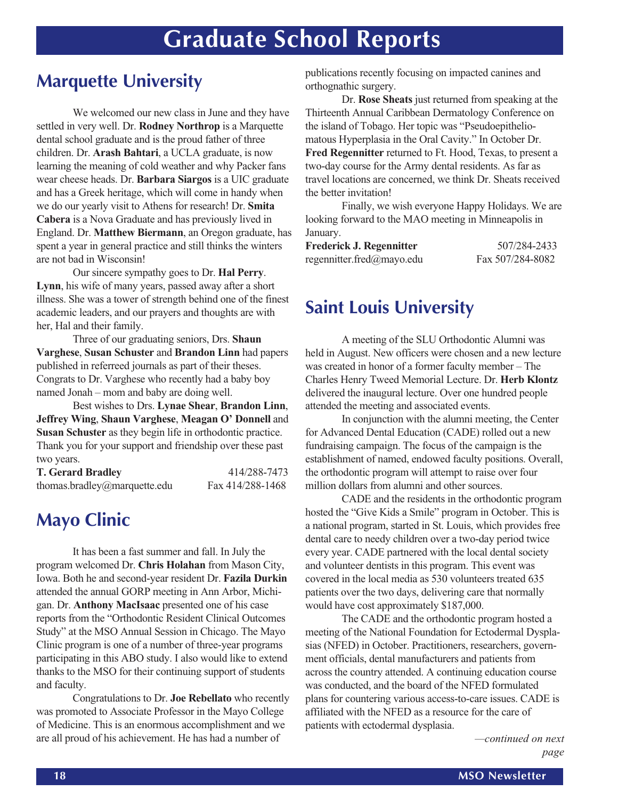## **Graduate School Reports**

### **Marquette University**

We welcomed our new class in June and they have settled in very well. Dr. **Rodney Northrop** is a Marquette dental school graduate and is the proud father of three children. Dr. **Arash Bahtari**, a UCLA graduate, is now learning the meaning of cold weather and why Packer fans wear cheese heads. Dr. **Barbara Siargos** is a UIC graduate and has a Greek heritage, which will come in handy when we do our yearly visit to Athens for research! Dr. **Smita Cabera** is a Nova Graduate and has previously lived in England. Dr. **Matthew Biermann**, an Oregon graduate, has spent a year in general practice and still thinks the winters are not bad in Wisconsin!

Our sincere sympathy goes to Dr. **Hal Perry**. **Lynn**, his wife of many years, passed away after a short illness. She was a tower of strength behind one of the finest academic leaders, and our prayers and thoughts are with her, Hal and their family.

Three of our graduating seniors, Drs. **Shaun Varghese**, **Susan Schuster** and **Brandon Linn** had papers published in referreed journals as part of their theses. Congrats to Dr. Varghese who recently had a baby boy named Jonah – mom and baby are doing well.

Best wishes to Drs. **Lynae Shear**, **Brandon Linn**, **Jeffrey Wing**, **Shaun Varghese**, **Meagan O' Donnell** and **Susan Schuster** as they begin life in orthodontic practice. Thank you for your support and friendship over these past two years.

| <b>T. Gerard Bradley</b>     | 414/288-7473     |
|------------------------------|------------------|
| thomas.bradley@marquette.edu | Fax 414/288-1468 |

### **Mayo Clinic**

It has been a fast summer and fall. In July the program welcomed Dr. **Chris Holahan** from Mason City, Iowa. Both he and second-year resident Dr. **Fazila Durkin** attended the annual GORP meeting in Ann Arbor, Michigan. Dr. **Anthony MacIsaac** presented one of his case reports from the "Orthodontic Resident Clinical Outcomes Study" at the MSO Annual Session in Chicago. The Mayo Clinic program is one of a number of three-year programs participating in this ABO study. I also would like to extend thanks to the MSO for their continuing support of students and faculty.

Congratulations to Dr. **Joe Rebellato** who recently was promoted to Associate Professor in the Mayo College of Medicine. This is an enormous accomplishment and we are all proud of his achievement. He has had a number of

publications recently focusing on impacted canines and orthognathic surgery.

Dr. **Rose Sheats** just returned from speaking at the Thirteenth Annual Caribbean Dermatology Conference on the island of Tobago. Her topic was "Pseudoepitheliomatous Hyperplasia in the Oral Cavity." In October Dr. **Fred Regennitter** returned to Ft. Hood, Texas, to present a two-day course for the Army dental residents. As far as travel locations are concerned, we think Dr. Sheats received the better invitation!

Finally, we wish everyone Happy Holidays. We are looking forward to the MAO meeting in Minneapolis in January.

| <b>Frederick J. Regennitter</b> | 507/284-2433     |
|---------------------------------|------------------|
| regennitter.fred@mayo.edu       | Fax 507/284-8082 |

### **Saint Louis University**

A meeting of the SLU Orthodontic Alumni was held in August. New officers were chosen and a new lecture was created in honor of a former faculty member – The Charles Henry Tweed Memorial Lecture. Dr. **Herb Klontz** delivered the inaugural lecture. Over one hundred people attended the meeting and associated events.

In conjunction with the alumni meeting, the Center for Advanced Dental Education (CADE) rolled out a new fundraising campaign. The focus of the campaign is the establishment of named, endowed faculty positions. Overall, the orthodontic program will attempt to raise over four million dollars from alumni and other sources.

CADE and the residents in the orthodontic program hosted the "Give Kids a Smile" program in October. This is a national program, started in St. Louis, which provides free dental care to needy children over a two-day period twice every year. CADE partnered with the local dental society and volunteer dentists in this program. This event was covered in the local media as 530 volunteers treated 635 patients over the two days, delivering care that normally would have cost approximately \$187,000.

The CADE and the orthodontic program hosted a meeting of the National Foundation for Ectodermal Dysplasias (NFED) in October. Practitioners, researchers, government officials, dental manufacturers and patients from across the country attended. A continuing education course was conducted, and the board of the NFED formulated plans for countering various access-to-care issues. CADE is affiliated with the NFED as a resource for the care of patients with ectodermal dysplasia.

> *—continued on next page*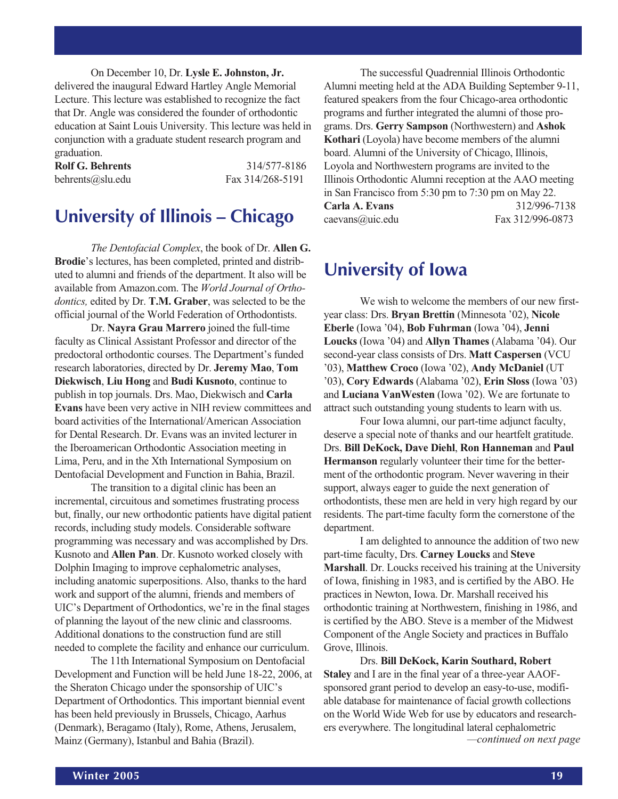On December 10, Dr. **Lysle E. Johnston, Jr.** delivered the inaugural Edward Hartley Angle Memorial Lecture. This lecture was established to recognize the fact that Dr. Angle was considered the founder of orthodontic education at Saint Louis University. This lecture was held in conjunction with a graduate student research program and graduation.

| <b>Rolf G. Behrents</b> | 314/577-8186     |
|-------------------------|------------------|
| behrents@slu.edu        | Fax 314/268-5191 |

### **University of Illinois – Chicago**

*The Dentofacial Complex*, the book of Dr. **Allen G. Brodie**'s lectures, has been completed, printed and distributed to alumni and friends of the department. It also will be available from Amazon.com. The *World Journal of Orthodontics,* edited by Dr. **T.M. Graber**, was selected to be the official journal of the World Federation of Orthodontists.

Dr. **Nayra Grau Marrero** joined the full-time faculty as Clinical Assistant Professor and director of the predoctoral orthodontic courses. The Department's funded research laboratories, directed by Dr. **Jeremy Mao**, **Tom Diekwisch**, **Liu Hong** and **Budi Kusnoto**, continue to publish in top journals. Drs. Mao, Diekwisch and **Carla Evans** have been very active in NIH review committees and board activities of the International/American Association for Dental Research. Dr. Evans was an invited lecturer in the Iberoamerican Orthodontic Association meeting in Lima, Peru, and in the Xth International Symposium on Dentofacial Development and Function in Bahia, Brazil.

The transition to a digital clinic has been an incremental, circuitous and sometimes frustrating process but, finally, our new orthodontic patients have digital patient records, including study models. Considerable software programming was necessary and was accomplished by Drs. Kusnoto and **Allen Pan**. Dr. Kusnoto worked closely with Dolphin Imaging to improve cephalometric analyses, including anatomic superpositions. Also, thanks to the hard work and support of the alumni, friends and members of UIC's Department of Orthodontics, we're in the final stages of planning the layout of the new clinic and classrooms. Additional donations to the construction fund are still needed to complete the facility and enhance our curriculum.

The 11th International Symposium on Dentofacial Development and Function will be held June 18-22, 2006, at the Sheraton Chicago under the sponsorship of UIC's Department of Orthodontics. This important biennial event has been held previously in Brussels, Chicago, Aarhus (Denmark), Beragamo (Italy), Rome, Athens, Jerusalem, Mainz (Germany), Istanbul and Bahia (Brazil).

The successful Quadrennial Illinois Orthodontic Alumni meeting held at the ADA Building September 9-11, featured speakers from the four Chicago-area orthodontic programs and further integrated the alumni of those programs. Drs. **Gerry Sampson** (Northwestern) and **Ashok Kothari** (Loyola) have become members of the alumni board. Alumni of the University of Chicago, Illinois, Loyola and Northwestern programs are invited to the Illinois Orthodontic Alumni reception at the AAO meeting in San Francisco from 5:30 pm to 7:30 pm on May 22. **Carla A. Evans** 312/996-7138 caevans@uic.edu Fax 312/996-0873

### **University of Iowa**

We wish to welcome the members of our new firstyear class: Drs. **Bryan Brettin** (Minnesota '02), **Nicole Eberle** (Iowa '04), **Bob Fuhrman** (Iowa '04), **Jenni Loucks** (Iowa '04) and **Allyn Thames** (Alabama '04). Our second-year class consists of Drs. **Matt Caspersen** (VCU '03), **Matthew Croco** (Iowa '02), **Andy McDaniel** (UT '03), **Cory Edwards** (Alabama '02), **Erin Sloss** (Iowa '03) and **Luciana VanWesten** (Iowa '02). We are fortunate to attract such outstanding young students to learn with us.

Four Iowa alumni, our part-time adjunct faculty, deserve a special note of thanks and our heartfelt gratitude. Drs. **Bill DeKock, Dave Diehl**, **Ron Hanneman** and **Paul Hermanson** regularly volunteer their time for the betterment of the orthodontic program. Never wavering in their support, always eager to guide the next generation of orthodontists, these men are held in very high regard by our residents. The part-time faculty form the cornerstone of the department.

I am delighted to announce the addition of two new part-time faculty, Drs. **Carney Loucks** and **Steve Marshall**. Dr. Loucks received his training at the University of Iowa, finishing in 1983, and is certified by the ABO. He practices in Newton, Iowa. Dr. Marshall received his orthodontic training at Northwestern, finishing in 1986, and is certified by the ABO. Steve is a member of the Midwest Component of the Angle Society and practices in Buffalo Grove, Illinois.

*—continued on next page* Drs. **Bill DeKock, Karin Southard, Robert Staley** and I are in the final year of a three-year AAOFsponsored grant period to develop an easy-to-use, modifiable database for maintenance of facial growth collections on the World Wide Web for use by educators and researchers everywhere. The longitudinal lateral cephalometric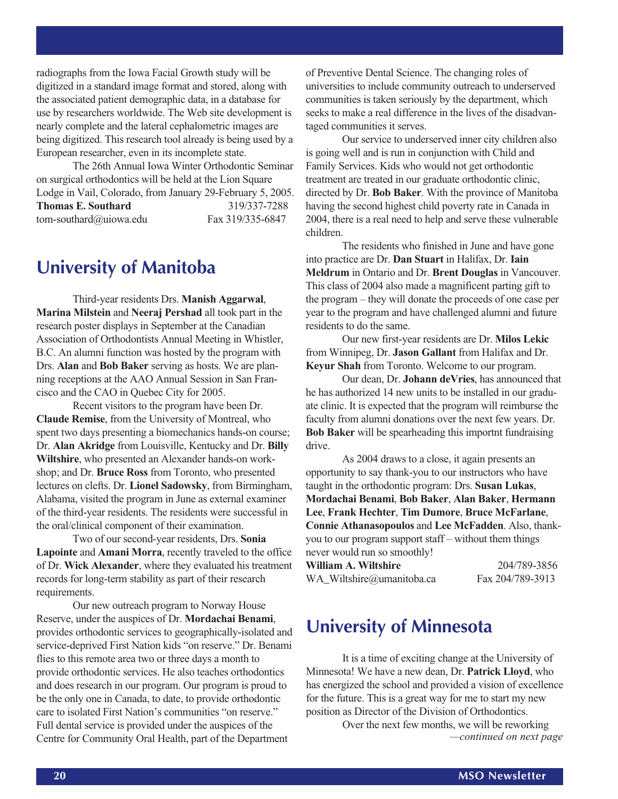radiographs from the Iowa Facial Growth study will be digitized in a standard image format and stored, along with the associated patient demographic data, in a database for use by researchers worldwide. The Web site development is nearly complete and the lateral cephalometric images are being digitized. This research tool already is being used by a European researcher, even in its incomplete state.

The 26th Annual Iowa Winter Orthodontic Seminar on surgical orthodontics will be held at the Lion Square Lodge in Vail, Colorado, from January 29-February 5, 2005. **Thomas E. Southard** 319/337-7288 tom-southard@uiowa.edu Fax 319/335-6847

### **University of Manitoba**

Third-year residents Drs. **Manish Aggarwal**, **Marina Milstein** and **Neeraj Pershad** all took part in the research poster displays in September at the Canadian Association of Orthodontists Annual Meeting in Whistler, B.C. An alumni function was hosted by the program with Drs. **Alan** and **Bob Baker** serving as hosts. We are planning receptions at the AAO Annual Session in San Francisco and the CAO in Quebec City for 2005.

Recent visitors to the program have been Dr. **Claude Remise**, from the University of Montreal, who spent two days presenting a biomechanics hands-on course; Dr. **Alan Akridge** from Louisville, Kentucky and Dr. **Billy Wiltshire**, who presented an Alexander hands-on workshop; and Dr. **Bruce Ross** from Toronto, who presented lectures on clefts. Dr. **Lionel Sadowsky**, from Birmingham, Alabama, visited the program in June as external examiner of the third-year residents. The residents were successful in the oral/clinical component of their examination.

Two of our second-year residents, Drs. **Sonia Lapointe** and **Amani Morra**, recently traveled to the office of Dr. **Wick Alexander**, where they evaluated his treatment records for long-term stability as part of their research requirements.

Our new outreach program to Norway House Reserve, under the auspices of Dr. **Mordachai Benami**, provides orthodontic services to geographically-isolated and service-deprived First Nation kids "on reserve." Dr. Benami flies to this remote area two or three days a month to provide orthodontic services. He also teaches orthodontics and does research in our program. Our program is proud to be the only one in Canada, to date, to provide orthodontic care to isolated First Nation's communities "on reserve." Full dental service is provided under the auspices of the Centre for Community Oral Health, part of the Department

of Preventive Dental Science. The changing roles of universities to include community outreach to underserved communities is taken seriously by the department, which seeks to make a real difference in the lives of the disadvantaged communities it serves.

Our service to underserved inner city children also is going well and is run in conjunction with Child and Family Services. Kids who would not get orthodontic treatment are treated in our graduate orthodontic clinic, directed by Dr. **Bob Baker**. With the province of Manitoba having the second highest child poverty rate in Canada in 2004, there is a real need to help and serve these vulnerable children.

The residents who finished in June and have gone into practice are Dr. **Dan Stuart** in Halifax, Dr. **Iain Meldrum** in Ontario and Dr. **Brent Douglas** in Vancouver. This class of 2004 also made a magnificent parting gift to the program – they will donate the proceeds of one case per year to the program and have challenged alumni and future residents to do the same.

Our new first-year residents are Dr. **Milos Lekic** from Winnipeg, Dr. **Jason Gallant** from Halifax and Dr. **Keyur Shah** from Toronto. Welcome to our program.

Our dean, Dr. **Johann deVries**, has announced that he has authorized 14 new units to be installed in our graduate clinic. It is expected that the program will reimburse the faculty from alumni donations over the next few years. Dr. **Bob Baker** will be spearheading this importnt fundraising drive.

As 2004 draws to a close, it again presents an opportunity to say thank-you to our instructors who have taught in the orthodontic program: Drs. **Susan Lukas**, **Mordachai Benami**, **Bob Baker**, **Alan Baker**, **Hermann Lee**, **Frank Hechter**, **Tim Dumore**, **Bruce McFarlane**, **Connie Athanasopoulos** and **Lee McFadden**. Also, thankyou to our program support staff – without them things never would run so smoothly!

| William A. Wiltshire      | 204/789-3856     |
|---------------------------|------------------|
| WA_Wiltshire@umanitoba.ca | Fax 204/789-3913 |

### **University of Minnesota**

It is a time of exciting change at the University of Minnesota! We have a new dean, Dr. **Patrick Lloyd**, who has energized the school and provided a vision of excellence for the future. This is a great way for me to start my new position as Director of the Division of Orthodontics.

> *—continued on next page* Over the next few months, we will be reworking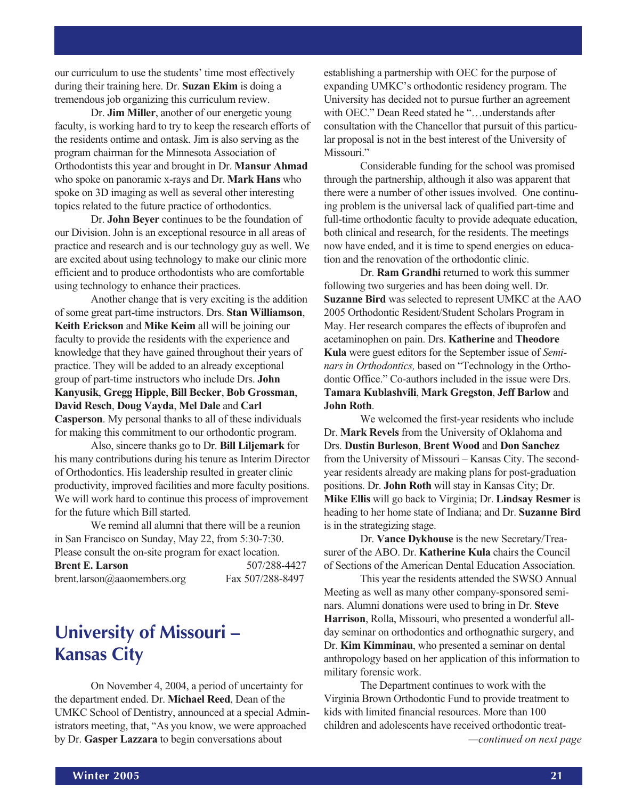our curriculum to use the students' time most effectively during their training here. Dr. **Suzan Ekim** is doing a tremendous job organizing this curriculum review.

Dr. **Jim Miller**, another of our energetic young faculty, is working hard to try to keep the research efforts of the residents ontime and ontask. Jim is also serving as the program chairman for the Minnesota Association of Orthodontists this year and brought in Dr. **Mansur Ahmad** who spoke on panoramic x-rays and Dr. **Mark Hans** who spoke on 3D imaging as well as several other interesting topics related to the future practice of orthodontics.

Dr. **John Beyer** continues to be the foundation of our Division. John is an exceptional resource in all areas of practice and research and is our technology guy as well. We are excited about using technology to make our clinic more efficient and to produce orthodontists who are comfortable using technology to enhance their practices.

Another change that is very exciting is the addition of some great part-time instructors. Drs. **Stan Williamson**, **Keith Erickson** and **Mike Keim** all will be joining our faculty to provide the residents with the experience and knowledge that they have gained throughout their years of practice. They will be added to an already exceptional group of part-time instructors who include Drs. **John Kanyusik**, **Gregg Hipple**, **Bill Becker**, **Bob Grossman**, **David Resch**, **Doug Vayda**, **Mel Dale** and **Carl Casperson**. My personal thanks to all of these individuals for making this commitment to our orthodontic program.

Also, sincere thanks go to Dr. **Bill Liljemark** for his many contributions during his tenure as Interim Director of Orthodontics. His leadership resulted in greater clinic productivity, improved facilities and more faculty positions. We will work hard to continue this process of improvement for the future which Bill started.

We remind all alumni that there will be a reunion in San Francisco on Sunday, May 22, from 5:30-7:30. Please consult the on-site program for exact location. **Brent E. Larson** 507/288-4427 brent.larson@aaomembers.org Fax 507/288-8497

### **University of Missouri – Kansas City**

On November 4, 2004, a period of uncertainty for the department ended. Dr. **Michael Reed**, Dean of the UMKC School of Dentistry, announced at a special Administrators meeting, that, "As you know, we were approached by Dr. **Gasper Lazzara** to begin conversations about

establishing a partnership with OEC for the purpose of expanding UMKC's orthodontic residency program. The University has decided not to pursue further an agreement with OEC." Dean Reed stated he "…understands after consultation with the Chancellor that pursuit of this particular proposal is not in the best interest of the University of Missouri."

Considerable funding for the school was promised through the partnership, although it also was apparent that there were a number of other issues involved. One continuing problem is the universal lack of qualified part-time and full-time orthodontic faculty to provide adequate education, both clinical and research, for the residents. The meetings now have ended, and it is time to spend energies on education and the renovation of the orthodontic clinic.

Dr. **Ram Grandhi** returned to work this summer following two surgeries and has been doing well. Dr. **Suzanne Bird** was selected to represent UMKC at the AAO 2005 Orthodontic Resident/Student Scholars Program in May. Her research compares the effects of ibuprofen and acetaminophen on pain. Drs. **Katherine** and **Theodore Kula** were guest editors for the September issue of *Seminars in Orthodontics,* based on "Technology in the Orthodontic Office." Co-authors included in the issue were Drs. **Tamara Kublashvili**, **Mark Gregston**, **Jeff Barlow** and **John Roth**.

We welcomed the first-year residents who include Dr. **Mark Revels** from the University of Oklahoma and Drs. **Dustin Burleson**, **Brent Wood** and **Don Sanchez** from the University of Missouri – Kansas City. The secondyear residents already are making plans for post-graduation positions. Dr. **John Roth** will stay in Kansas City; Dr. **Mike Ellis** will go back to Virginia; Dr. **Lindsay Resmer** is heading to her home state of Indiana; and Dr. **Suzanne Bird** is in the strategizing stage.

Dr. **Vance Dykhouse** is the new Secretary/Treasurer of the ABO. Dr. **Katherine Kula** chairs the Council of Sections of the American Dental Education Association.

This year the residents attended the SWSO Annual Meeting as well as many other company-sponsored seminars. Alumni donations were used to bring in Dr. **Steve Harrison**, Rolla, Missouri, who presented a wonderful allday seminar on orthodontics and orthognathic surgery, and Dr. **Kim Kimminau**, who presented a seminar on dental anthropology based on her application of this information to military forensic work.

The Department continues to work with the Virginia Brown Orthodontic Fund to provide treatment to kids with limited financial resources. More than 100 children and adolescents have received orthodontic treat- *—continued on next page*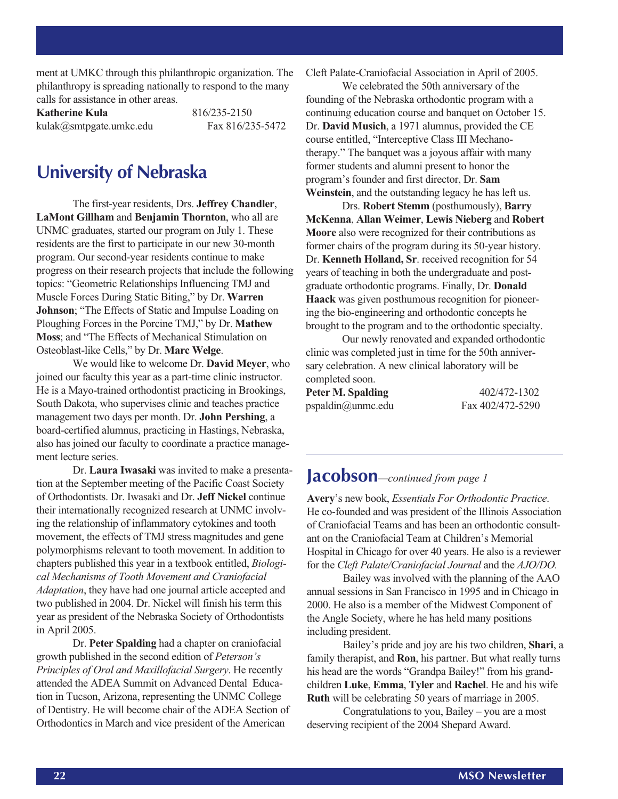ment at UMKC through this philanthropic organization. The philanthropy is spreading nationally to respond to the many calls for assistance in other areas.

**Katherine Kula** 816/235-2150 kulak@smtpgate.umkc.edu Fax 816/235-5472

### **University of Nebraska**

The first-year residents, Drs. **Jeffrey Chandler**, **LaMont Gillham** and **Benjamin Thornton**, who all are UNMC graduates, started our program on July 1. These residents are the first to participate in our new 30-month program. Our second-year residents continue to make progress on their research projects that include the following topics: "Geometric Relationships Influencing TMJ and Muscle Forces During Static Biting," by Dr. **Warren Johnson**; "The Effects of Static and Impulse Loading on Ploughing Forces in the Porcine TMJ," by Dr. **Mathew Moss**; and "The Effects of Mechanical Stimulation on Osteoblast-like Cells," by Dr. **Marc Welge**.

We would like to welcome Dr. **David Meyer**, who joined our faculty this year as a part-time clinic instructor. He is a Mayo-trained orthodontist practicing in Brookings, South Dakota, who supervises clinic and teaches practice management two days per month. Dr. **John Pershing**, a board-certified alumnus, practicing in Hastings, Nebraska, also has joined our faculty to coordinate a practice management lecture series.

Dr. **Laura Iwasaki** was invited to make a presentation at the September meeting of the Pacific Coast Society of Orthodontists. Dr. Iwasaki and Dr. **Jeff Nickel** continue their internationally recognized research at UNMC involving the relationship of inflammatory cytokines and tooth movement, the effects of TMJ stress magnitudes and gene polymorphisms relevant to tooth movement. In addition to chapters published this year in a textbook entitled, *Biological Mechanisms of Tooth Movement and Craniofacial Adaptation*, they have had one journal article accepted and two published in 2004. Dr. Nickel will finish his term this year as president of the Nebraska Society of Orthodontists in April 2005.

Dr. **Peter Spalding** had a chapter on craniofacial growth published in the second edition of *Peterson's Principles of Oral and Maxillofacial Surgery*. He recently attended the ADEA Summit on Advanced Dental Education in Tucson, Arizona, representing the UNMC College of Dentistry. He will become chair of the ADEA Section of Orthodontics in March and vice president of the American

Cleft Palate-Craniofacial Association in April of 2005.

We celebrated the 50th anniversary of the founding of the Nebraska orthodontic program with a continuing education course and banquet on October 15. Dr. **David Musich**, a 1971 alumnus, provided the CE course entitled, "Interceptive Class III Mechanotherapy." The banquet was a joyous affair with many former students and alumni present to honor the program's founder and first director, Dr. **Sam Weinstein**, and the outstanding legacy he has left us.

Drs. **Robert Stemm** (posthumously), **Barry McKenna**, **Allan Weimer**, **Lewis Nieberg** and **Robert Moore** also were recognized for their contributions as former chairs of the program during its 50-year history. Dr. **Kenneth Holland, Sr**. received recognition for 54 years of teaching in both the undergraduate and postgraduate orthodontic programs. Finally, Dr. **Donald Haack** was given posthumous recognition for pioneering the bio-engineering and orthodontic concepts he brought to the program and to the orthodontic specialty.

Our newly renovated and expanded orthodontic clinic was completed just in time for the 50th anniversary celebration. A new clinical laboratory will be completed soon.

| Peter M. Spalding | 402/472-1302     |
|-------------------|------------------|
| pspaldin@unmc.edu | Fax 402/472-5290 |

### **Jacobson***—continued from page 1*

**Avery**'s new book, *Essentials For Orthodontic Practice*. He co-founded and was president of the Illinois Association of Craniofacial Teams and has been an orthodontic consultant on the Craniofacial Team at Children's Memorial Hospital in Chicago for over 40 years. He also is a reviewer for the *Cleft Palate/Craniofacial Journal* and the *AJO/DO.*

Bailey was involved with the planning of the AAO annual sessions in San Francisco in 1995 and in Chicago in 2000. He also is a member of the Midwest Component of the Angle Society, where he has held many positions including president.

Bailey's pride and joy are his two children, **Shari**, a family therapist, and **Ron**, his partner. But what really turns his head are the words "Grandpa Bailey!" from his grandchildren **Luke**, **Emma**, **Tyler** and **Rachel**. He and his wife **Ruth** will be celebrating 50 years of marriage in 2005.

Congratulations to you, Bailey – you are a most deserving recipient of the 2004 Shepard Award.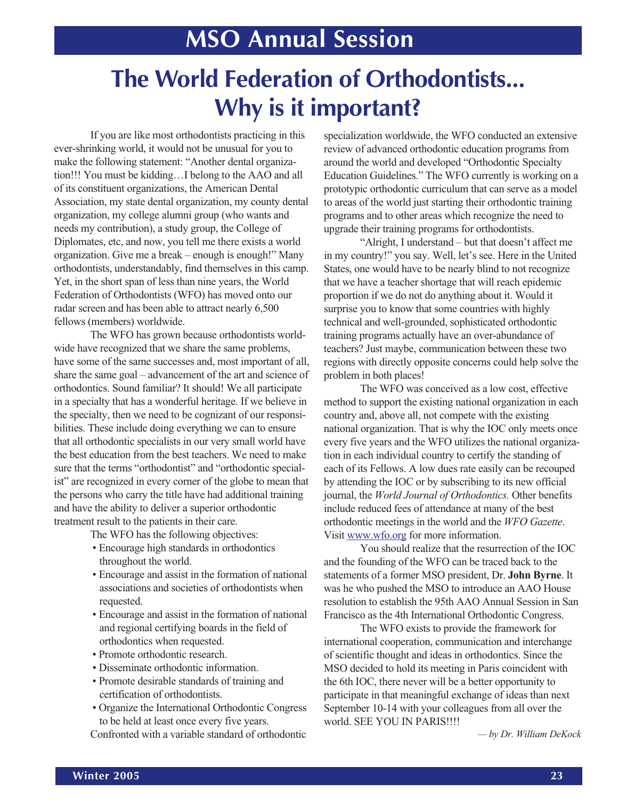## **MSO Annual Session**

## **The World Federation of Orthodontists... Why is it important?**

If you are like most orthodontists practicing in this ever-shrinking world, it would not be unusual for you to make the following statement: "Another dental organization!!! You must be kidding…I belong to the AAO and all of its constituent organizations, the American Dental Association, my state dental organization, my county dental organization, my college alumni group (who wants and needs my contribution), a study group, the College of Diplomates, etc, and now, you tell me there exists a world organization. Give me a break – enough is enough!" Many orthodontists, understandably, find themselves in this camp. Yet, in the short span of less than nine years, the World Federation of Orthodontists (WFO) has moved onto our radar screen and has been able to attract nearly 6,500 fellows (members) worldwide.

The WFO has grown because orthodontists worldwide have recognized that we share the same problems, have some of the same successes and, most important of all, share the same goal – advancement of the art and science of orthodontics. Sound familiar? It should! We all participate in a specialty that has a wonderful heritage. If we believe in the specialty, then we need to be cognizant of our responsibilities. These include doing everything we can to ensure that all orthodontic specialists in our very small world have the best education from the best teachers. We need to make sure that the terms "orthodontist" and "orthodontic specialist" are recognized in every corner of the globe to mean that the persons who carry the title have had additional training and have the ability to deliver a superior orthodontic treatment result to the patients in their care.

The WFO has the following objectives:

- Encourage high standards in orthodontics throughout the world.
- Encourage and assist in the formation of national associations and societies of orthodontists when requested.
- Encourage and assist in the formation of national and regional certifying boards in the field of orthodontics when requested.
- Promote orthodontic research.
- Disseminate orthodontic information.
- Promote desirable standards of training and certification of orthodontists.
- Organize the International Orthodontic Congress to be held at least once every five years.

Confronted with a variable standard of orthodontic

specialization worldwide, the WFO conducted an extensive review of advanced orthodontic education programs from around the world and developed "Orthodontic Specialty Education Guidelines." The WFO currently is working on a prototypic orthodontic curriculum that can serve as a model to areas of the world just starting their orthodontic training programs and to other areas which recognize the need to upgrade their training programs for orthodontists.

"Alright, I understand – but that doesn't affect me in my country!" you say. Well, let's see. Here in the United States, one would have to be nearly blind to not recognize that we have a teacher shortage that will reach epidemic proportion if we do not do anything about it. Would it surprise you to know that some countries with highly technical and well-grounded, sophisticated orthodontic training programs actually have an over-abundance of teachers? Just maybe, communication between these two regions with directly opposite concerns could help solve the problem in both places!

The WFO was conceived as a low cost, effective method to support the existing national organization in each country and, above all, not compete with the existing national organization. That is why the IOC only meets once every five years and the WFO utilizes the national organization in each individual country to certify the standing of each of its Fellows. A low dues rate easily can be recouped by attending the IOC or by subscribing to its new official journal, the *World Journal of Orthodontics.* Other benefits include reduced fees of attendance at many of the best orthodontic meetings in the world and the *WFO Gazette*. Visit www.wfo.org for more information.

You should realize that the resurrection of the IOC and the founding of the WFO can be traced back to the statements of a former MSO president, Dr. **John Byrne**. It was he who pushed the MSO to introduce an AAO House resolution to establish the 95th AAO Annual Session in San Francisco as the 4th International Orthodontic Congress.

The WFO exists to provide the framework for international cooperation, communication and interchange of scientific thought and ideas in orthodontics. Since the MSO decided to hold its meeting in Paris coincident with the 6th IOC, there never will be a better opportunity to participate in that meaningful exchange of ideas than next September 10-14 with your colleagues from all over the world. SEE YOU IN PARIS!!!!

*— by Dr. William DeKock*